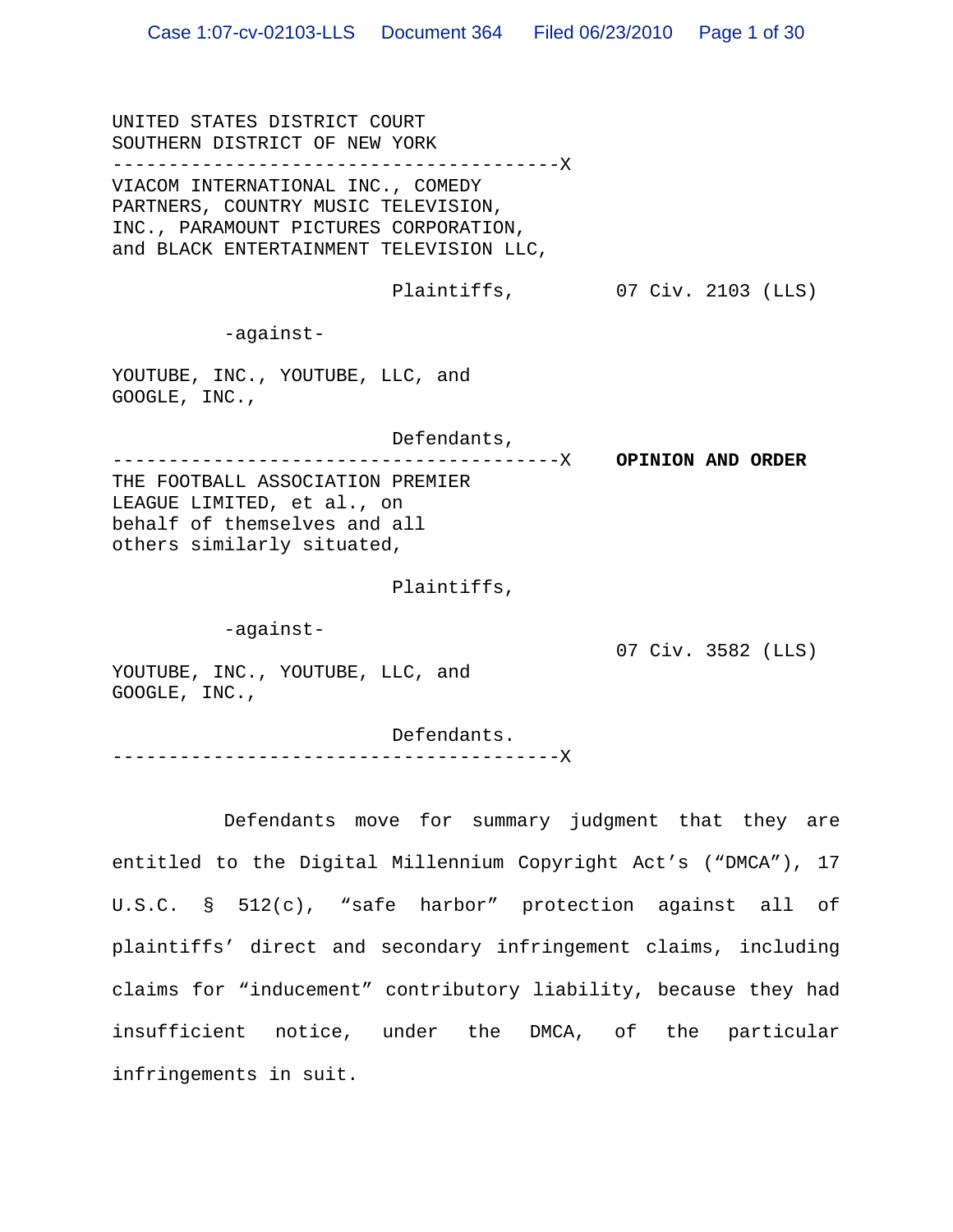UNITED STATES DISTRICT COURT SOUTHERN DISTRICT OF NEW YORK ----------------------------------------X VIACOM INTERNATIONAL INC., COMEDY

PARTNERS, COUNTRY MUSIC TELEVISION, INC., PARAMOUNT PICTURES CORPORATION, and BLACK ENTERTAINMENT TELEVISION LLC,

### Plaintiffs, 07 Civ. 2103 (LLS)

-against-

YOUTUBE, INC., YOUTUBE, LLC, and GOOGLE, INC.,

Defendants,

----------------------------------------X **OPINION AND ORDER** THE FOOTBALL ASSOCIATION PREMIER LEAGUE LIMITED, et al., on behalf of themselves and all others similarly situated,

#### Plaintiffs,

-against-

07 Civ. 3582 (LLS)

YOUTUBE, INC., YOUTUBE, LLC, and GOOGLE, INC.,

 Defendants. ----------------------------------------X

 Defendants move for summary judgment that they are entitled to the Digital Millennium Copyright Act's ("DMCA"), 17 U.S.C. § 512(c), "safe harbor" protection against all of plaintiffs' direct and secondary infringement claims, including claims for "inducement" contributory liability, because they had insufficient notice, under the DMCA, of the particular infringements in suit.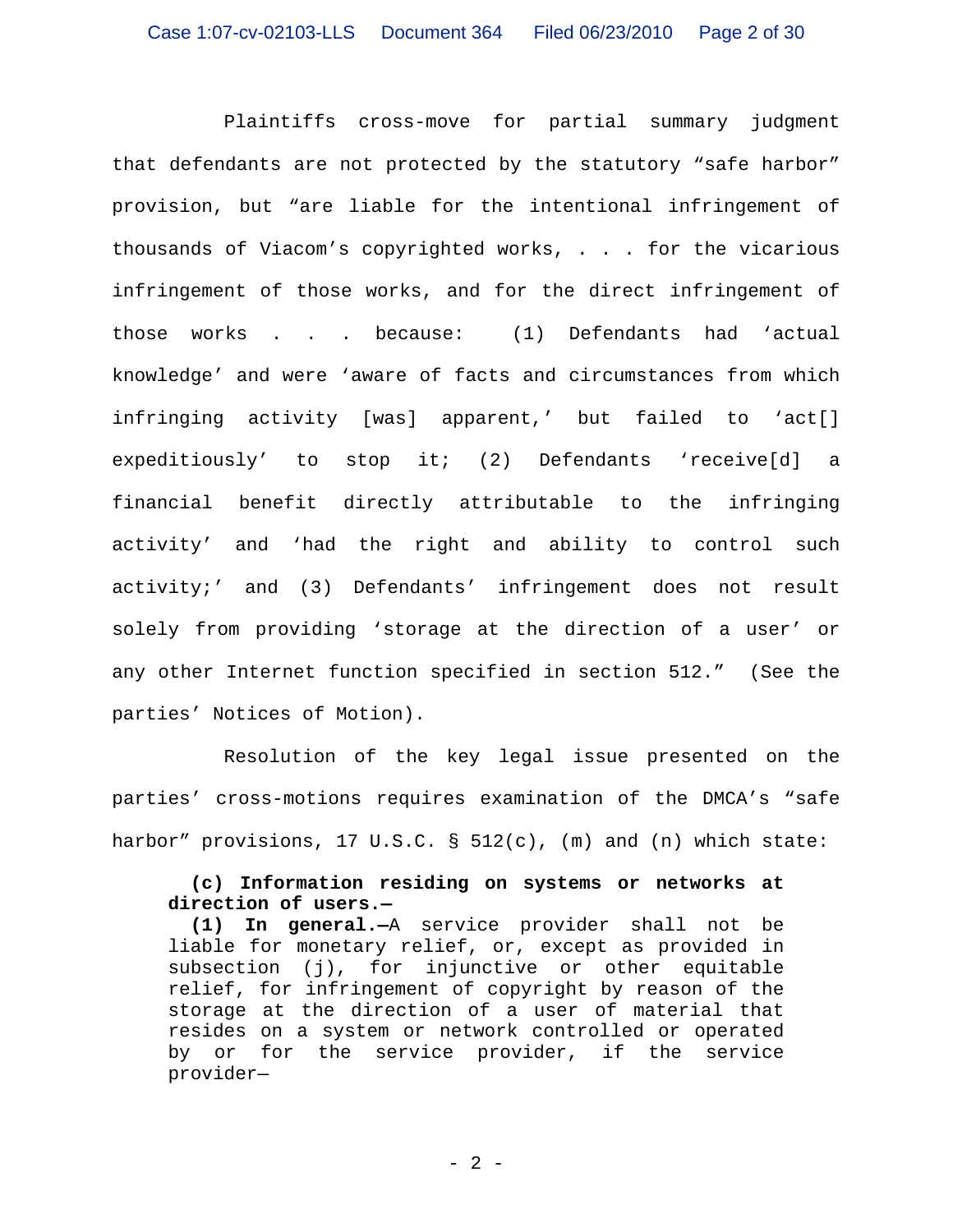Plaintiffs cross-move for partial summary judgment that defendants are not protected by the statutory "safe harbor" provision, but "are liable for the intentional infringement of thousands of Viacom's copyrighted works, . . . for the vicarious infringement of those works, and for the direct infringement of those works . . . because: (1) Defendants had 'actual knowledge' and were 'aware of facts and circumstances from which infringing activity [was] apparent,' but failed to 'act[] expeditiously' to stop it; (2) Defendants 'receive[d] a financial benefit directly attributable to the infringing activity' and 'had the right and ability to control such activity;' and (3) Defendants' infringement does not result solely from providing 'storage at the direction of a user' or any other Internet function specified in section 512." (See the parties' Notices of Motion).

 Resolution of the key legal issue presented on the parties' cross-motions requires examination of the DMCA's "safe harbor" provisions, 17 U.S.C. § 512(c), (m) and (n) which state:

# **(c) Information residing on systems or networks at direction of users.—**

 **(1) In general.—**A service provider shall not be liable for monetary relief, or, except as provided in subsection (j), for injunctive or other equitable relief, for infringement of copyright by reason of the storage at the direction of a user of material that resides on a system or network controlled or operated by or for the service provider, if the service provider—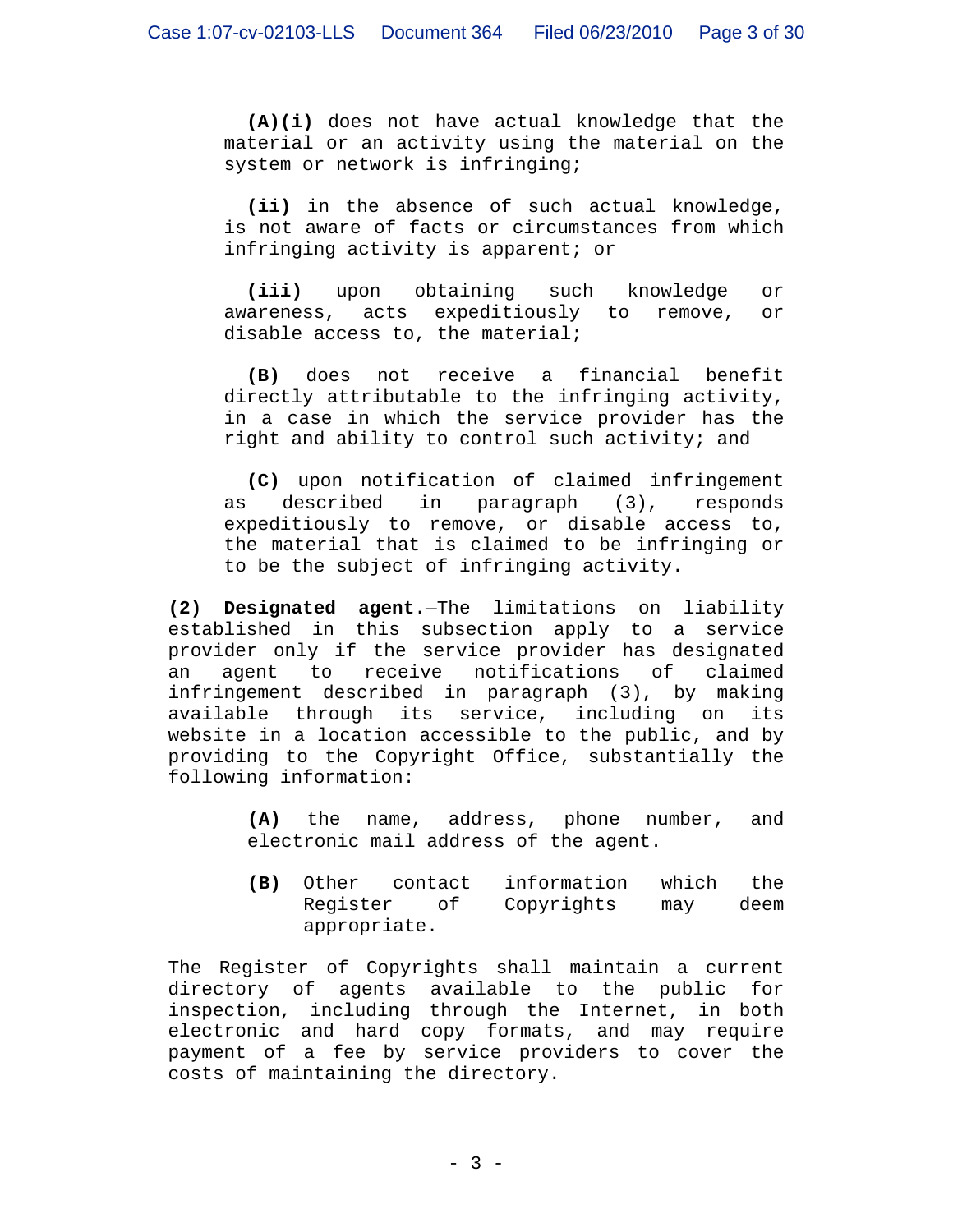**(A)(i)** does not have actual knowledge that the material or an activity using the material on the system or network is infringing;

 **(ii)** in the absence of such actual knowledge, is not aware of facts or circumstances from which infringing activity is apparent; or

 **(iii)** upon obtaining such knowledge or awareness, acts expeditiously to remove, or disable access to, the material;

 **(B)** does not receive a financial benefit directly attributable to the infringing activity, in a case in which the service provider has the right and ability to control such activity; and

 **(C)** upon notification of claimed infringement as described in paragraph (3), responds expeditiously to remove, or disable access to, the material that is claimed to be infringing or to be the subject of infringing activity.

**(2) Designated agent.**—The limitations on liability established in this subsection apply to a service provider only if the service provider has designated an agent to receive notifications of claimed infringement described in paragraph (3), by making available through its service, including on its website in a location accessible to the public, and by providing to the Copyright Office, substantially the following information:

> **(A)** the name, address, phone number, and electronic mail address of the agent.

> **(B)** Other contact information which the Register of Copyrights may deem appropriate.

The Register of Copyrights shall maintain a current directory of agents available to the public for inspection, including through the Internet, in both electronic and hard copy formats, and may require payment of a fee by service providers to cover the costs of maintaining the directory.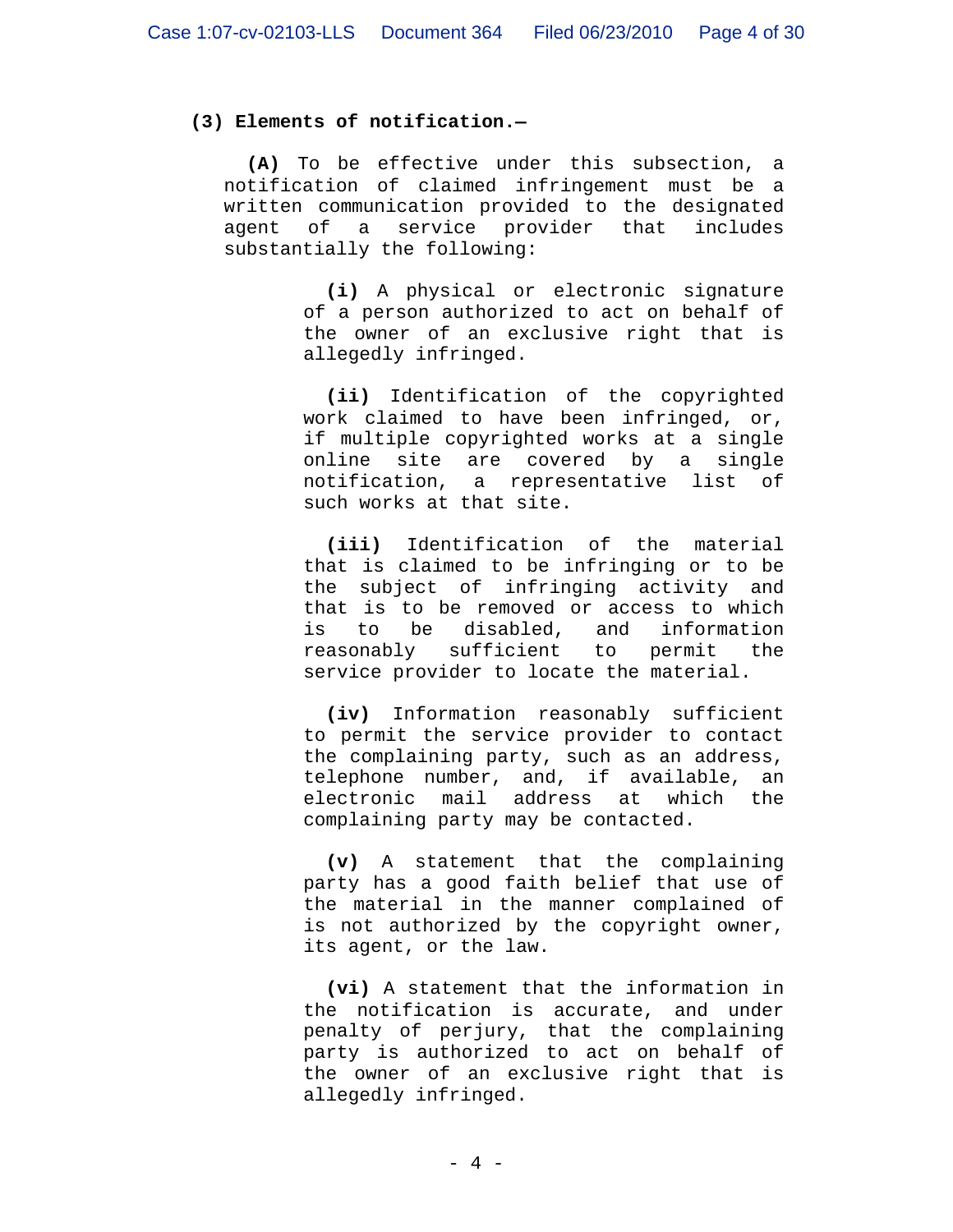## **(3) Elements of notification.—**

 **(A)** To be effective under this subsection, a notification of claimed infringement must be a written communication provided to the designated agent of a service provider that includes substantially the following:

> **(i)** A physical or electronic signature of a person authorized to act on behalf of the owner of an exclusive right that is allegedly infringed.

> **(ii)** Identification of the copyrighted work claimed to have been infringed, or, if multiple copyrighted works at a single online site are covered by a single notification, a representative list of such works at that site.

> **(iii)** Identification of the material that is claimed to be infringing or to be the subject of infringing activity and that is to be removed or access to which is to be disabled, and information reasonably sufficient to permit the service provider to locate the material.

> **(iv)** Information reasonably sufficient to permit the service provider to contact the complaining party, such as an address, telephone number, and, if available, an electronic mail address at which the complaining party may be contacted.

> **(v)** A statement that the complaining party has a good faith belief that use of the material in the manner complained of is not authorized by the copyright owner, its agent, or the law.

> **(vi)** A statement that the information in the notification is accurate, and under penalty of perjury, that the complaining party is authorized to act on behalf of the owner of an exclusive right that is allegedly infringed.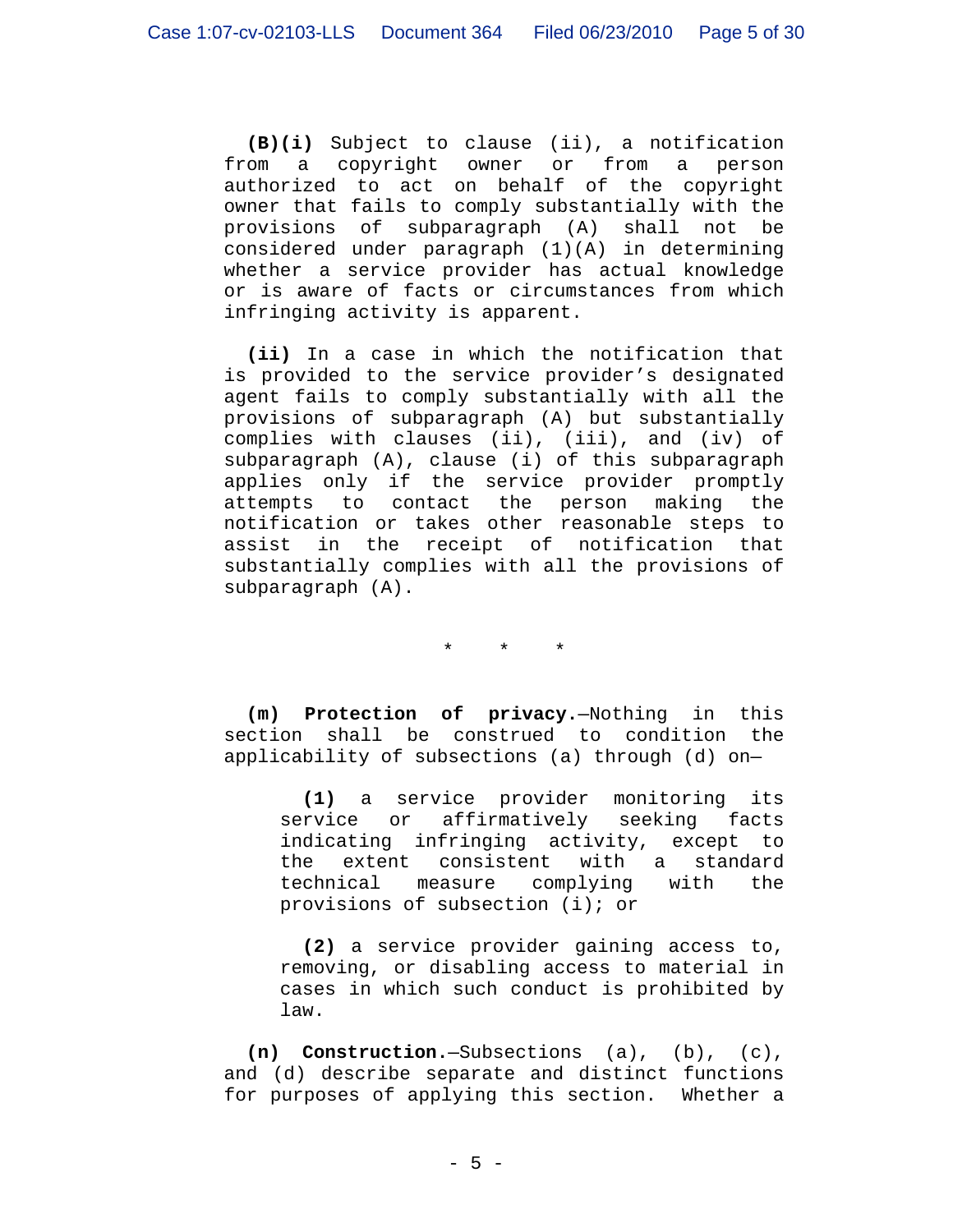**(B)(i)** Subject to clause (ii), a notification from a copyright owner or from a person authorized to act on behalf of the copyright owner that fails to comply substantially with the provisions of subparagraph (A) shall not be considered under paragraph (1)(A) in determining whether a service provider has actual knowledge or is aware of facts or circumstances from which infringing activity is apparent.

 **(ii)** In a case in which the notification that is provided to the service provider's designated agent fails to comply substantially with all the provisions of subparagraph (A) but substantially complies with clauses (ii), (iii), and (iv) of subparagraph (A), clause (i) of this subparagraph applies only if the service provider promptly attempts to contact the person making the notification or takes other reasonable steps to assist in the receipt of notification that substantially complies with all the provisions of subparagraph (A).

\* \* \*

 **(m) Protection of privacy.**—Nothing in this section shall be construed to condition the applicability of subsections (a) through (d) on—

 **(1)** a service provider monitoring its service or affirmatively seeking facts indicating infringing activity, except to the extent consistent with a standard technical measure complying with the provisions of subsection (i); or

 **(2)** a service provider gaining access to, removing, or disabling access to material in cases in which such conduct is prohibited by law.

 **(n) Construction.**—Subsections (a), (b), (c), and (d) describe separate and distinct functions for purposes of applying this section. Whether a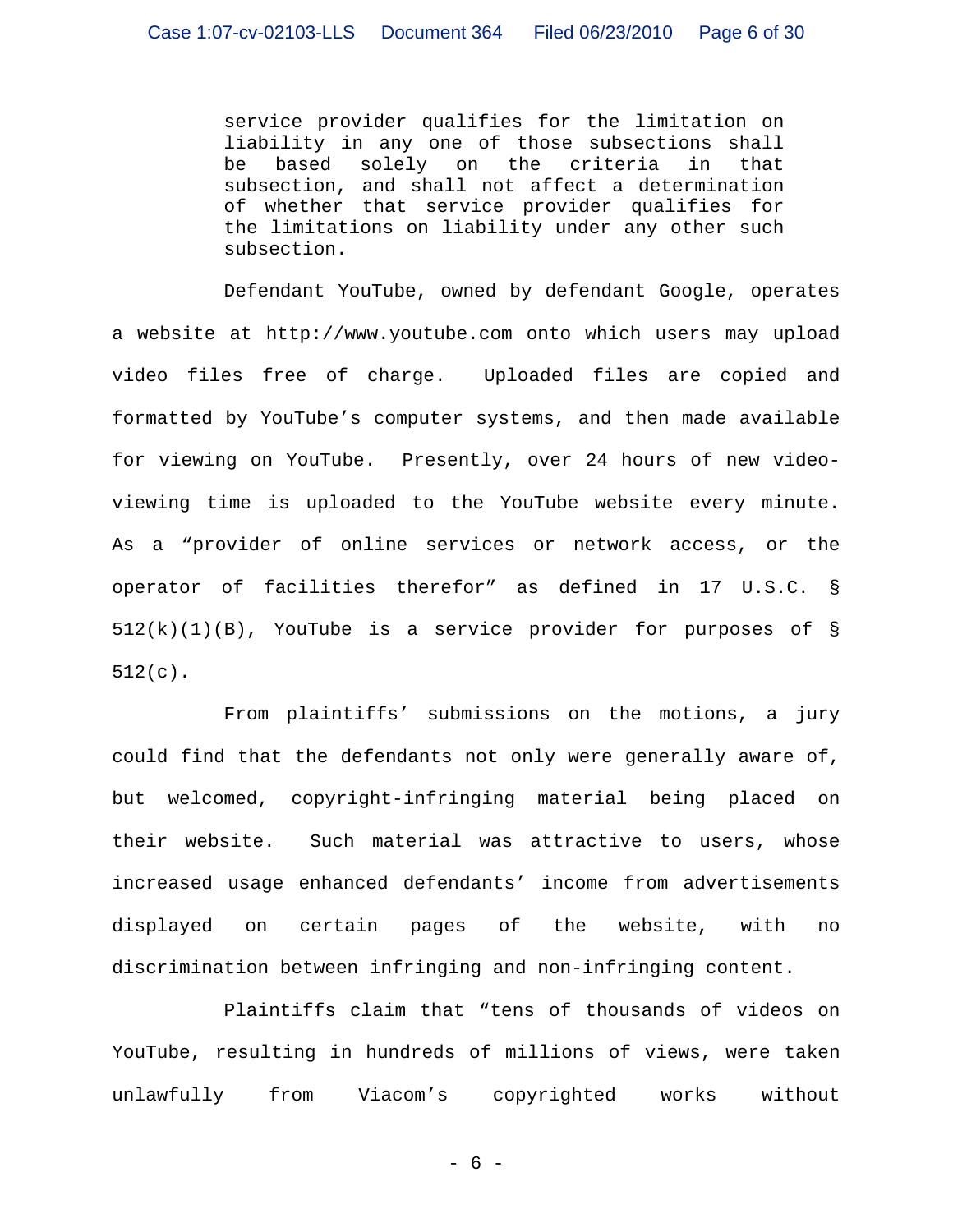service provider qualifies for the limitation on liability in any one of those subsections shall be based solely on the criteria in that subsection, and shall not affect a determination of whether that service provider qualifies for the limitations on liability under any other such subsection.

 Defendant YouTube, owned by defendant Google, operates a website at http://www.youtube.com onto which users may upload video files free of charge. Uploaded files are copied and formatted by YouTube's computer systems, and then made available for viewing on YouTube. Presently, over 24 hours of new videoviewing time is uploaded to the YouTube website every minute. As a "provider of online services or network access, or the operator of facilities therefor" as defined in 17 U.S.C. § 512(k)(1)(B), YouTube is a service provider for purposes of § 512(c).

 From plaintiffs' submissions on the motions, a jury could find that the defendants not only were generally aware of, but welcomed, copyright-infringing material being placed on their website. Such material was attractive to users, whose increased usage enhanced defendants' income from advertisements displayed on certain pages of the website, with no discrimination between infringing and non-infringing content.

 Plaintiffs claim that "tens of thousands of videos on YouTube, resulting in hundreds of millions of views, were taken unlawfully from Viacom's copyrighted works without

- 6 -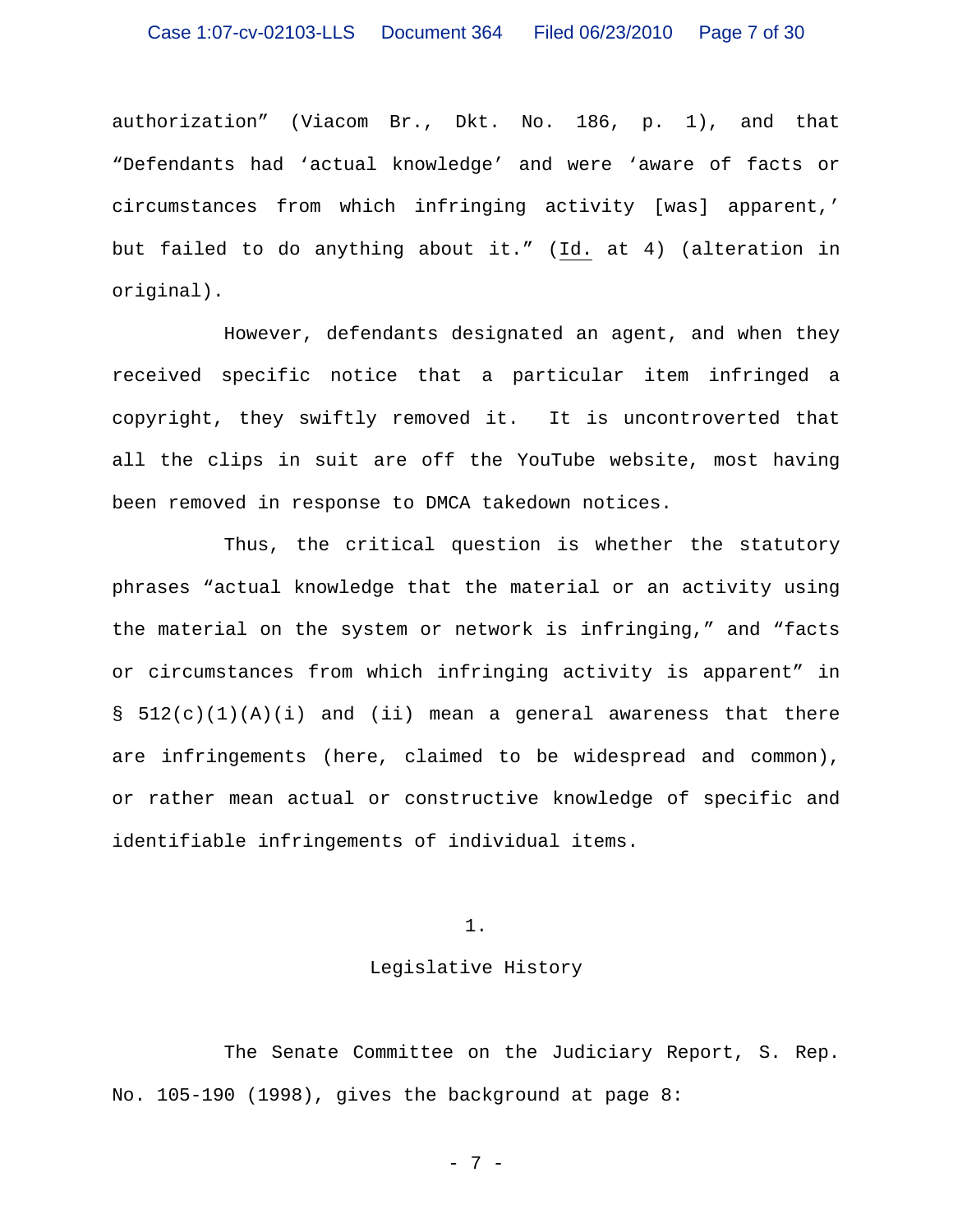authorization" (Viacom Br., Dkt. No. 186, p. 1), and that "Defendants had 'actual knowledge' and were 'aware of facts or circumstances from which infringing activity [was] apparent,' but failed to do anything about it." (Id. at 4) (alteration in original).

 However, defendants designated an agent, and when they received specific notice that a particular item infringed a copyright, they swiftly removed it. It is uncontroverted that all the clips in suit are off the YouTube website, most having been removed in response to DMCA takedown notices.

 Thus, the critical question is whether the statutory phrases "actual knowledge that the material or an activity using the material on the system or network is infringing," and "facts or circumstances from which infringing activity is apparent" in §  $512(c)(1)(A)(i)$  and (ii) mean a general awareness that there are infringements (here, claimed to be widespread and common), or rather mean actual or constructive knowledge of specific and identifiable infringements of individual items.

## 1.

## Legislative History

The Senate Committee on the Judiciary Report, S. Rep. No. 105-190 (1998), gives the background at page 8:

- 7 -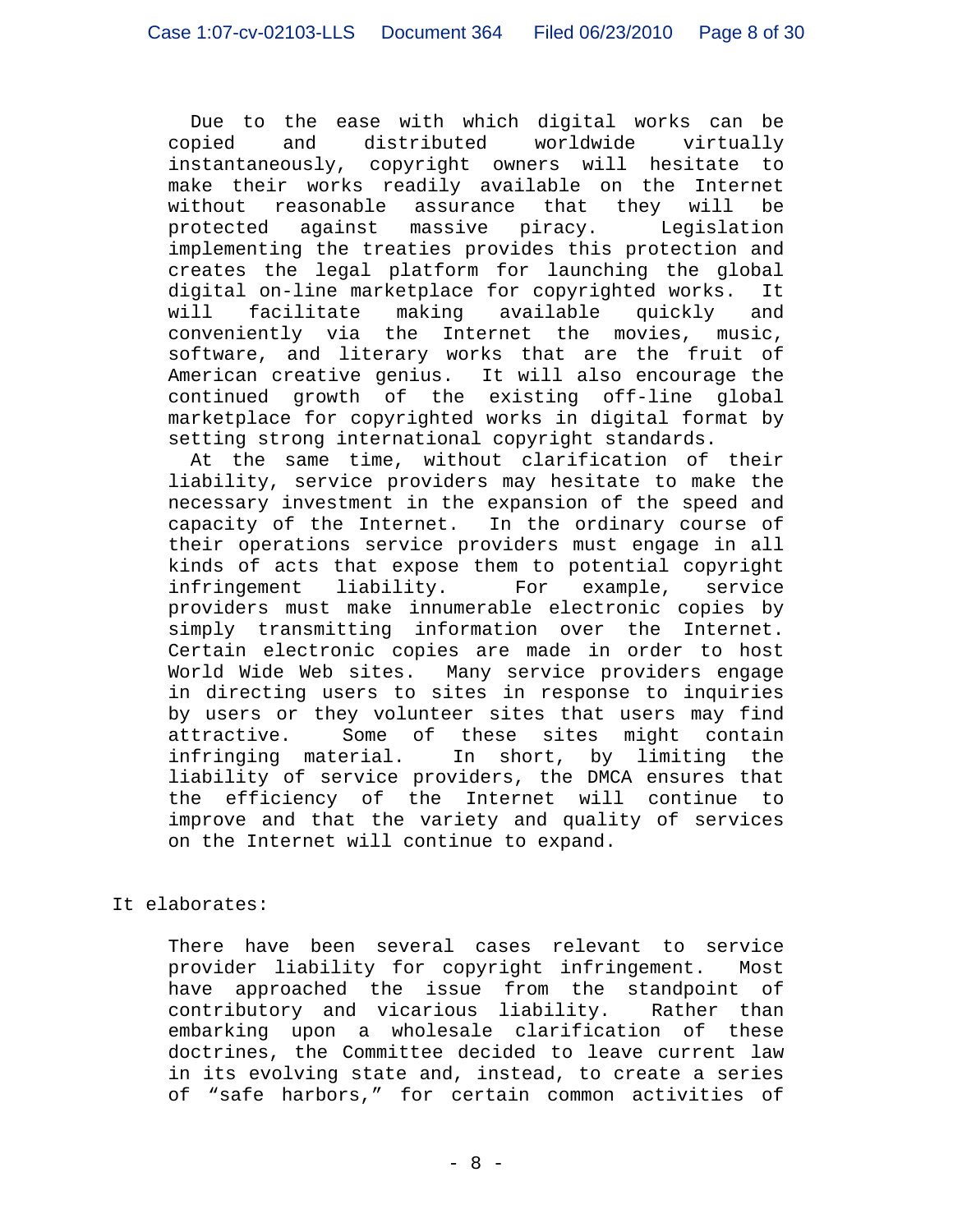Due to the ease with which digital works can be copied and distributed worldwide virtually instantaneously, copyright owners will hesitate to make their works readily available on the Internet without reasonable assurance that they will be protected against massive piracy. Legislation implementing the treaties provides this protection and creates the legal platform for launching the global digital on-line marketplace for copyrighted works. It will facilitate making available quickly and conveniently via the Internet the movies, music, software, and literary works that are the fruit of American creative genius. It will also encourage the continued growth of the existing off-line global marketplace for copyrighted works in digital format by setting strong international copyright standards.

 At the same time, without clarification of their liability, service providers may hesitate to make the necessary investment in the expansion of the speed and capacity of the Internet. In the ordinary course of their operations service providers must engage in all kinds of acts that expose them to potential copyright infringement liability. For example, service providers must make innumerable electronic copies by simply transmitting information over the Internet. Certain electronic copies are made in order to host World Wide Web sites. Many service providers engage in directing users to sites in response to inquiries by users or they volunteer sites that users may find attractive. Some of these sites might contain infringing material. In short, by limiting the liability of service providers, the DMCA ensures that the efficiency of the Internet will continue to improve and that the variety and quality of services on the Internet will continue to expand.

## It elaborates:

There have been several cases relevant to service provider liability for copyright infringement. Most have approached the issue from the standpoint of contributory and vicarious liability. Rather than embarking upon a wholesale clarification of these doctrines, the Committee decided to leave current law in its evolving state and, instead, to create a series of "safe harbors," for certain common activities of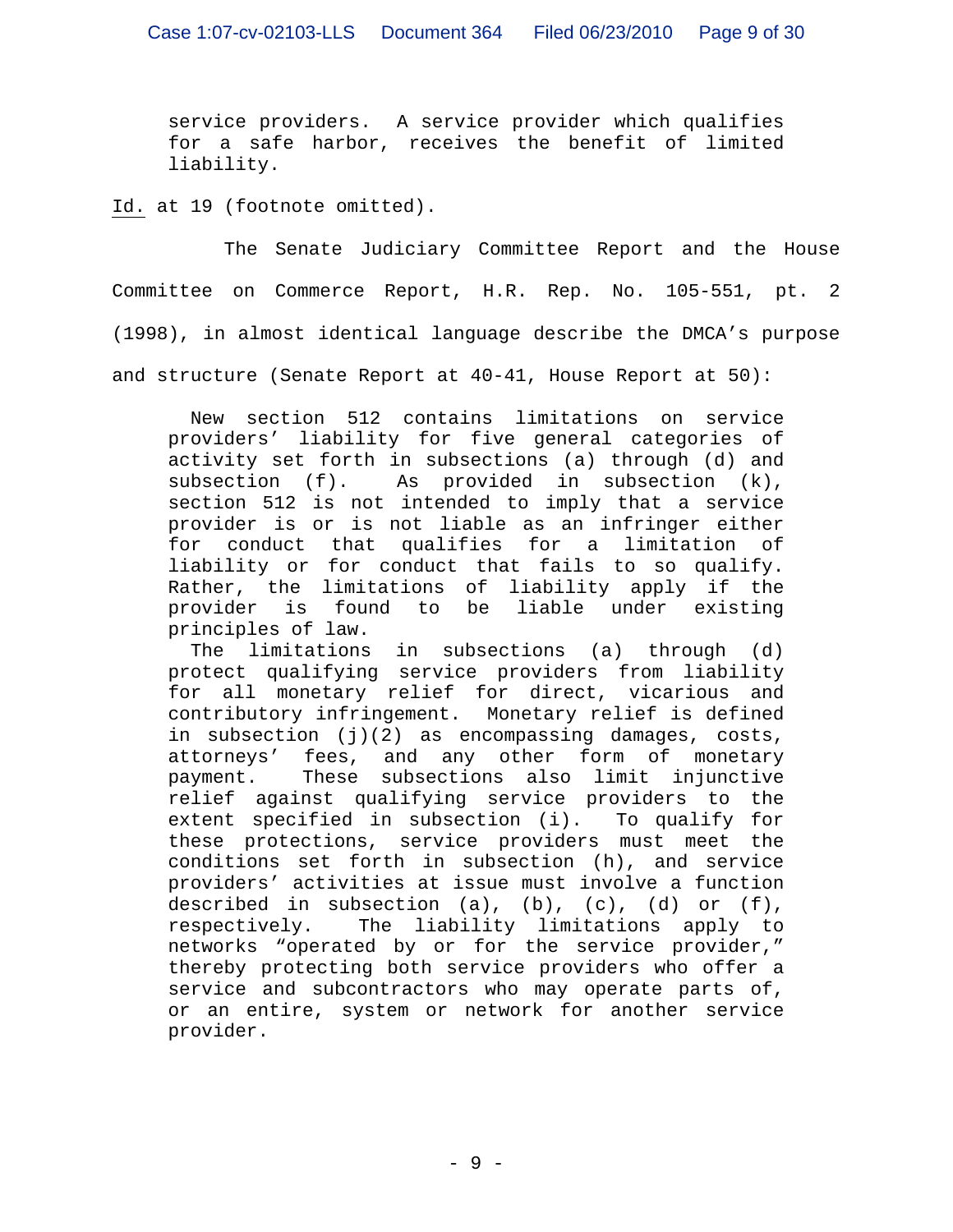service providers. A service provider which qualifies for a safe harbor, receives the benefit of limited liability.

Id. at 19 (footnote omitted).

 The Senate Judiciary Committee Report and the House Committee on Commerce Report, H.R. Rep. No. 105-551, pt. 2 (1998), in almost identical language describe the DMCA's purpose and structure (Senate Report at 40-41, House Report at 50):

 New section 512 contains limitations on service providers' liability for five general categories of activity set forth in subsections (a) through (d) and subsection (f). As provided in subsection (k), section 512 is not intended to imply that a service provider is or is not liable as an infringer either for conduct that qualifies for a limitation of liability or for conduct that fails to so qualify. Rather, the limitations of liability apply if the provider is found to be liable under existing principles of law.

 The limitations in subsections (a) through (d) protect qualifying service providers from liability for all monetary relief for direct, vicarious and contributory infringement. Monetary relief is defined in subsection (j)(2) as encompassing damages, costs, attorneys' fees, and any other form of monetary payment. These subsections also limit injunctive relief against qualifying service providers to the extent specified in subsection (i). To qualify for these protections, service providers must meet the conditions set forth in subsection (h), and service providers' activities at issue must involve a function described in subsection  $(a)$ ,  $(b)$ ,  $(c)$ ,  $(d)$  or  $(f)$ , respectively. The liability limitations apply to networks "operated by or for the service provider," thereby protecting both service providers who offer a service and subcontractors who may operate parts of, or an entire, system or network for another service provider.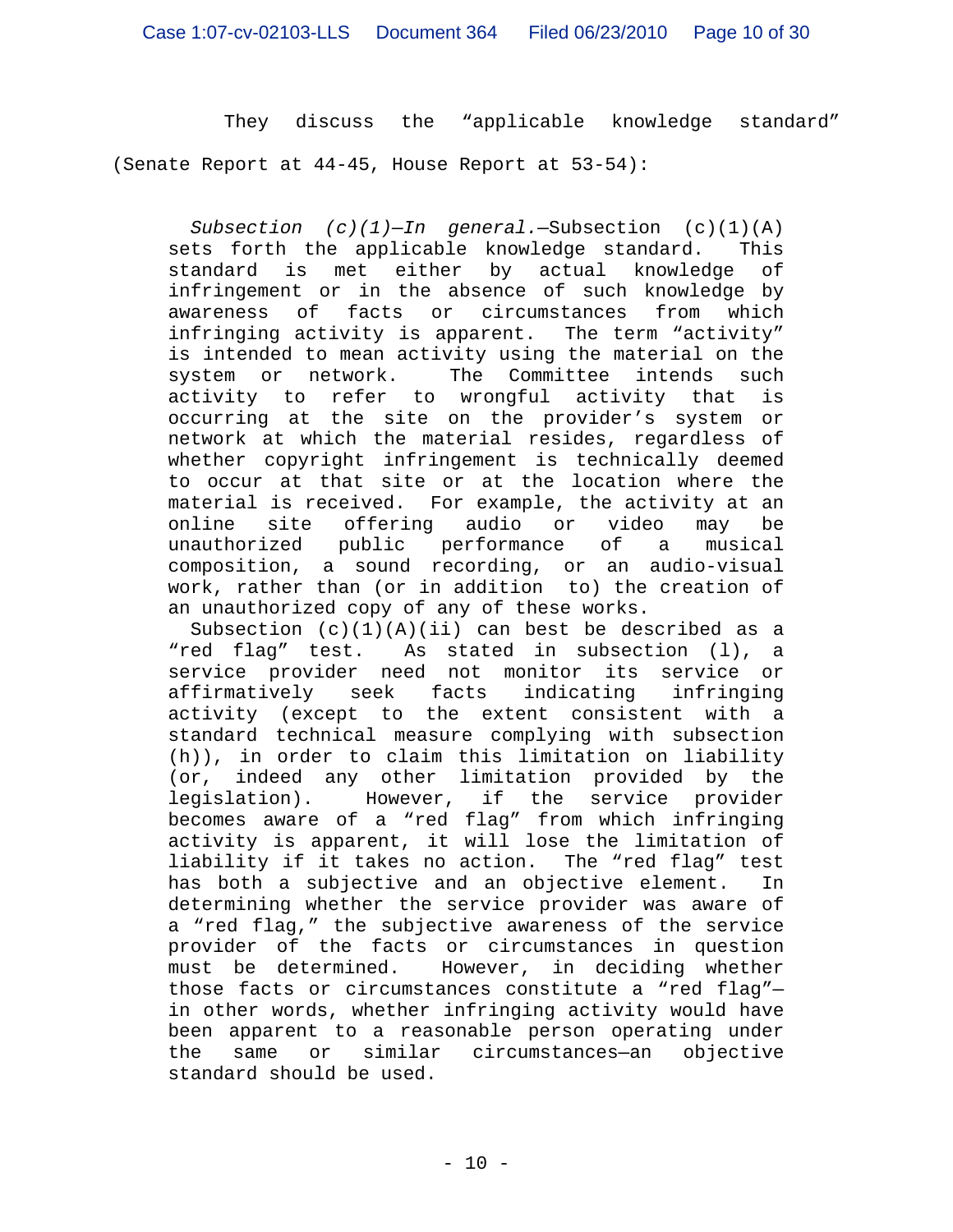They discuss the "applicable knowledge standard" (Senate Report at 44-45, House Report at 53-54):

 *Subsection (c)(1)—In general.—*Subsection (c)(1)(A) sets forth the applicable knowledge standard. This standard is met either by actual knowledge of infringement or in the absence of such knowledge by awareness of facts or circumstances from which infringing activity is apparent. The term "activity" is intended to mean activity using the material on the system or network. The Committee intends such activity to refer to wrongful activity that is occurring at the site on the provider's system or network at which the material resides, regardless of whether copyright infringement is technically deemed to occur at that site or at the location where the material is received. For example, the activity at an online site offering audio or video may be unauthorized public performance of a musical composition, a sound recording, or an audio-visual work, rather than (or in addition to) the creation of an unauthorized copy of any of these works.

Subsection  $(c)(1)(A)(ii)$  can best be described as a "red flag" test. As stated in subsection (l), a service provider need not monitor its service or affirmatively seek facts indicating infringing activity (except to the extent consistent with a standard technical measure complying with subsection (h)), in order to claim this limitation on liability (or, indeed any other limitation provided by the legislation). However, if the service provider becomes aware of a "red flag" from which infringing activity is apparent, it will lose the limitation of liability if it takes no action. The "red flag" test has both a subjective and an objective element. In determining whether the service provider was aware of a "red flag," the subjective awareness of the service provider of the facts or circumstances in question must be determined. However, in deciding whether those facts or circumstances constitute a "red flag" in other words, whether infringing activity would have been apparent to a reasonable person operating under the same or similar circumstances—an objective standard should be used.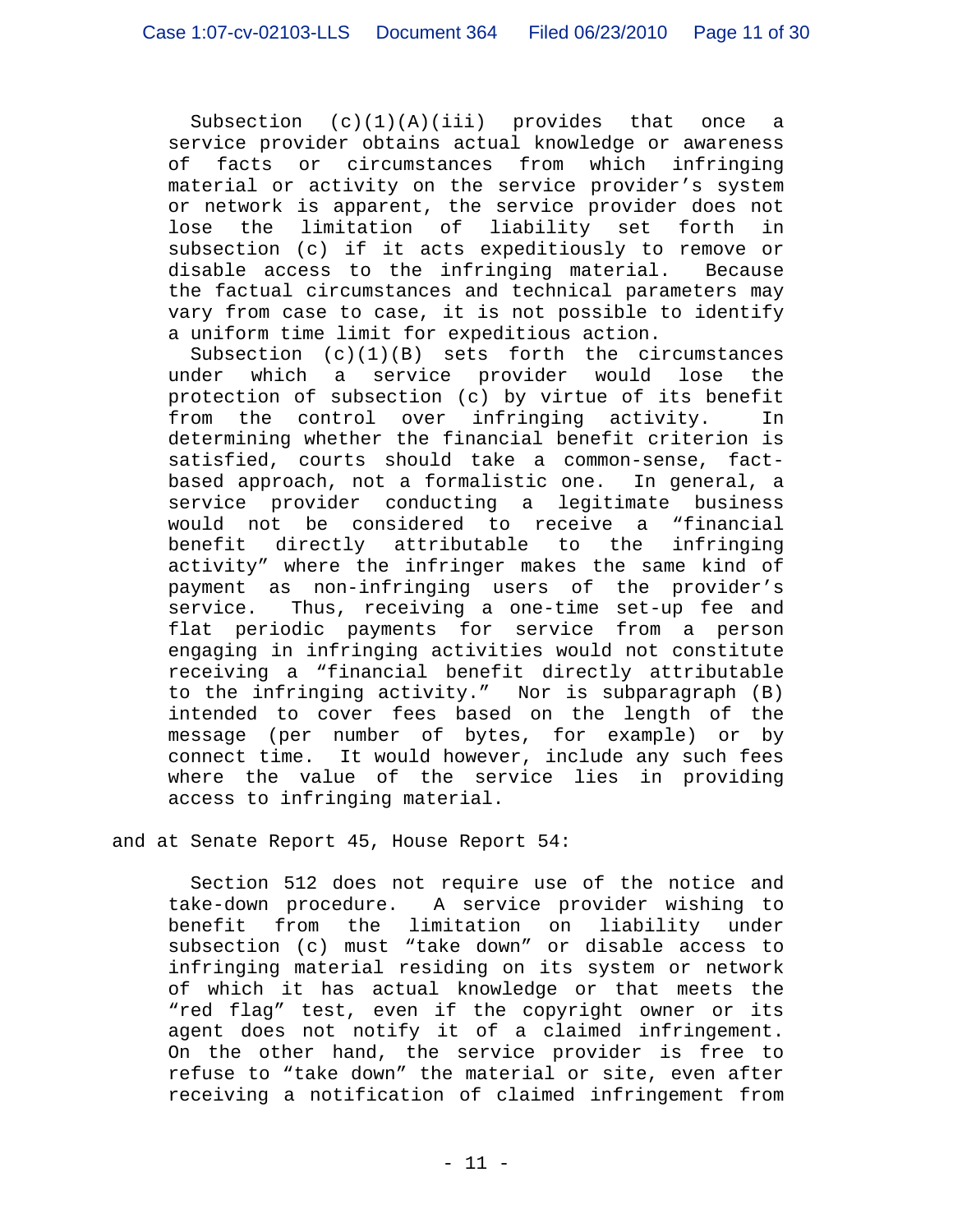Subsection (c)(1)(A)(iii) provides that once a service provider obtains actual knowledge or awareness of facts or circumstances from which infringing material or activity on the service provider's system or network is apparent, the service provider does not lose the limitation of liability set forth in subsection (c) if it acts expeditiously to remove or disable access to the infringing material. Because the factual circumstances and technical parameters may vary from case to case, it is not possible to identify a uniform time limit for expeditious action.

Subsection  $(c)(1)(B)$  sets forth the circumstances under which a service provider would lose the protection of subsection (c) by virtue of its benefit from the control over infringing activity. In determining whether the financial benefit criterion is satisfied, courts should take a common-sense, factbased approach, not a formalistic one. In general, a service provider conducting a legitimate business would not be considered to receive a "financial benefit directly attributable to the infringing activity" where the infringer makes the same kind of payment as non-infringing users of the provider's service. Thus, receiving a one-time set-up fee and flat periodic payments for service from a person engaging in infringing activities would not constitute receiving a "financial benefit directly attributable to the infringing activity." Nor is subparagraph (B) intended to cover fees based on the length of the message (per number of bytes, for example) or by connect time. It would however, include any such fees where the value of the service lies in providing access to infringing material.

## and at Senate Report 45, House Report 54:

 Section 512 does not require use of the notice and take-down procedure. A service provider wishing to benefit from the limitation on liability under subsection (c) must "take down" or disable access to infringing material residing on its system or network of which it has actual knowledge or that meets the "red flag" test, even if the copyright owner or its agent does not notify it of a claimed infringement. On the other hand, the service provider is free to refuse to "take down" the material or site, even after receiving a notification of claimed infringement from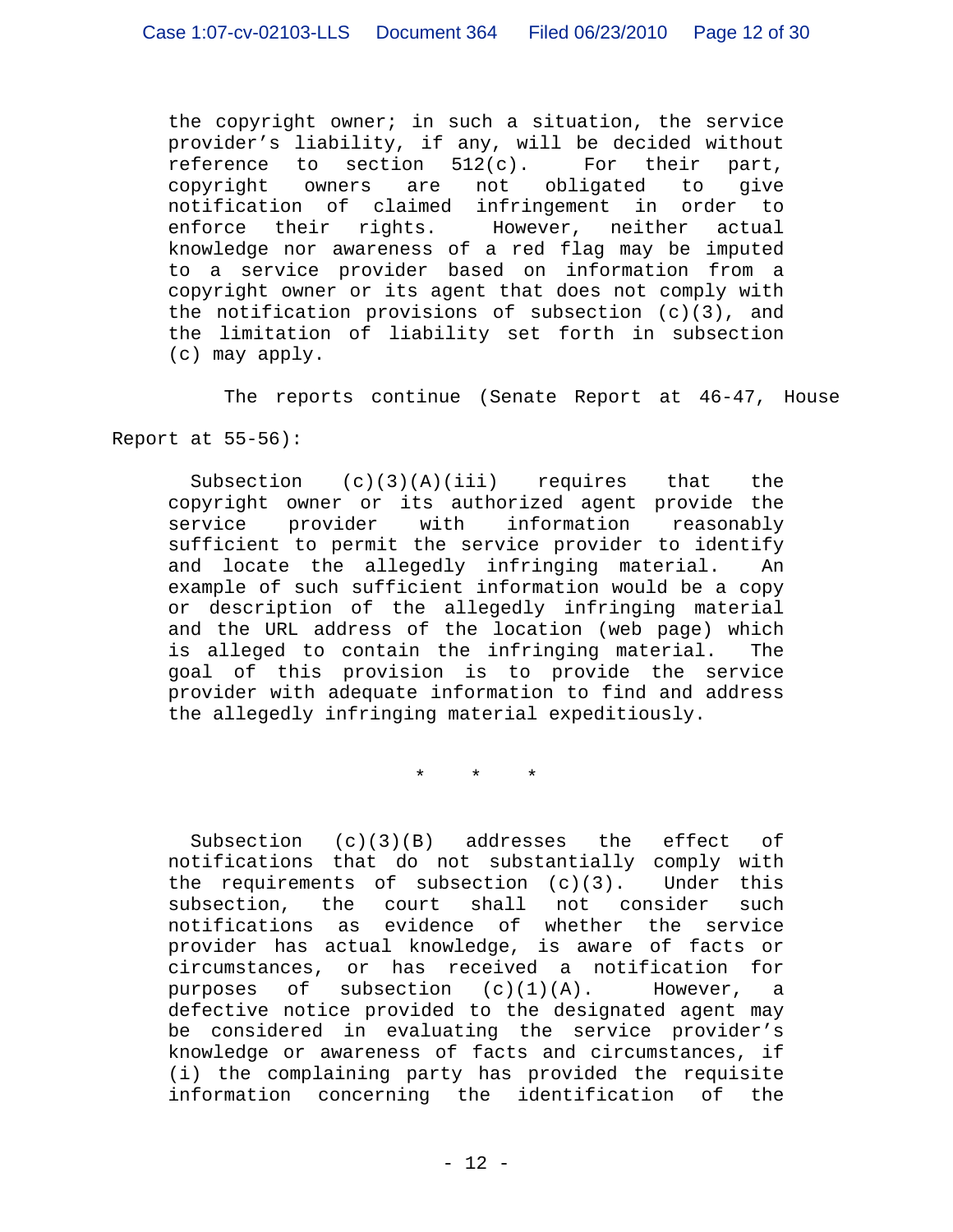the copyright owner; in such a situation, the service provider's liability, if any, will be decided without reference to section  $512(c)$ . For their part, copyright owners are not obligated to give notification of claimed infringement in order to enforce their rights. However, neither actual knowledge nor awareness of a red flag may be imputed to a service provider based on information from a copyright owner or its agent that does not comply with the notification provisions of subsection  $(c)(3)$ , and the limitation of liability set forth in subsection (c) may apply.

The reports continue (Senate Report at 46-47, House

Report at 55-56):

Subsection  $(c)(3)(A)(iii)$  requires that the copyright owner or its authorized agent provide the service provider with information reasonably sufficient to permit the service provider to identify and locate the allegedly infringing material. An example of such sufficient information would be a copy or description of the allegedly infringing material and the URL address of the location (web page) which is alleged to contain the infringing material. The goal of this provision is to provide the service provider with adequate information to find and address the allegedly infringing material expeditiously.

\* \* \*

 Subsection (c)(3)(B) addresses the effect of notifications that do not substantially comply with the requirements of subsection (c)(3). Under this subsection, the court shall not consider such notifications as evidence of whether the service provider has actual knowledge, is aware of facts or circumstances, or has received a notification for purposes of subsection  $(c)(1)(A)$ . However, a defective notice provided to the designated agent may be considered in evaluating the service provider's knowledge or awareness of facts and circumstances, if (i) the complaining party has provided the requisite information concerning the identification of the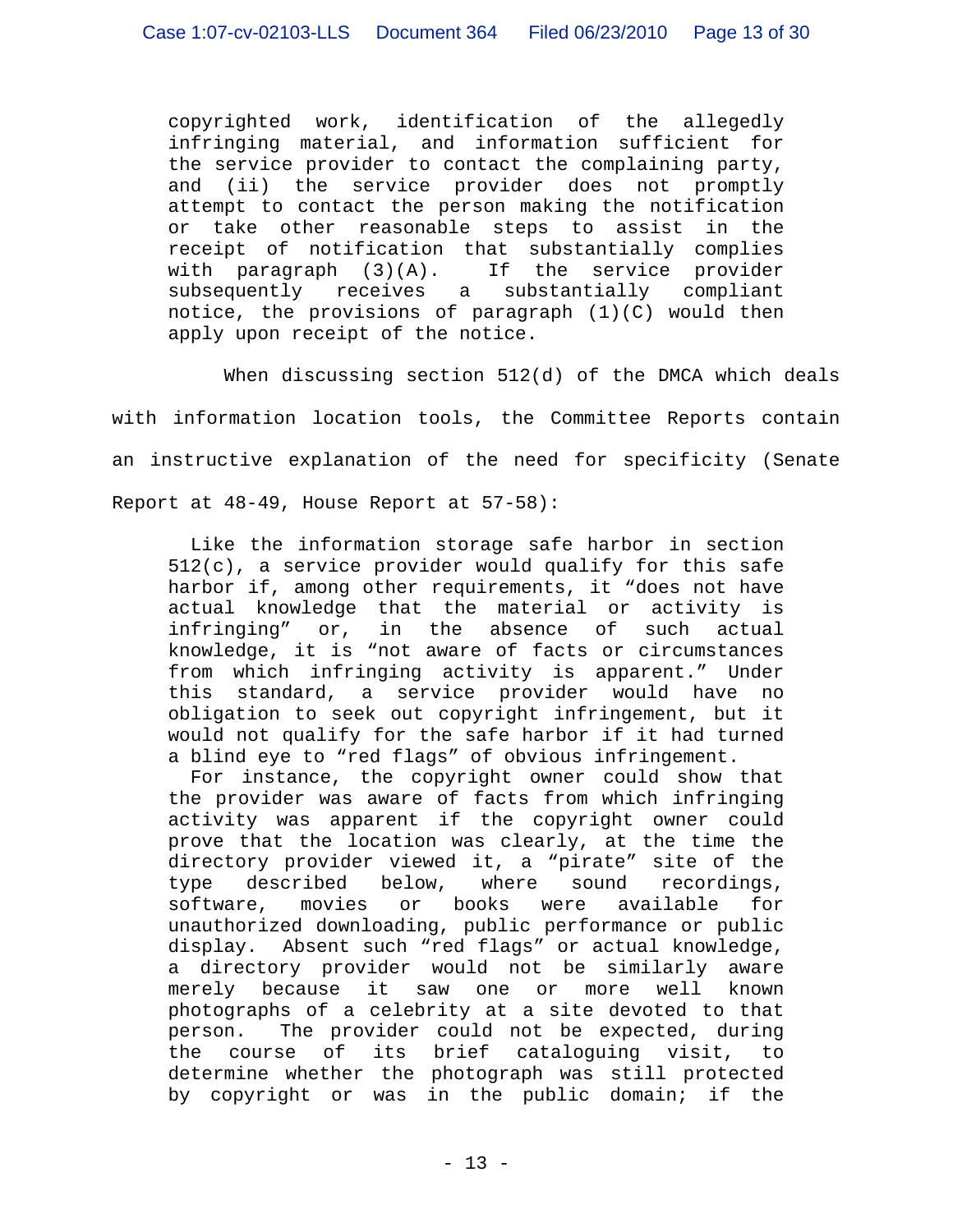copyrighted work, identification of the allegedly infringing material, and information sufficient for the service provider to contact the complaining party, and (ii) the service provider does not promptly attempt to contact the person making the notification or take other reasonable steps to assist in the receipt of notification that substantially complies with paragraph (3)(A). If the service provider subsequently receives a substantially compliant notice, the provisions of paragraph  $(1)(C)$  would then apply upon receipt of the notice.

 When discussing section 512(d) of the DMCA which deals with information location tools, the Committee Reports contain an instructive explanation of the need for specificity (Senate Report at 48-49, House Report at 57-58):

 Like the information storage safe harbor in section 512(c), a service provider would qualify for this safe harbor if, among other requirements, it "does not have actual knowledge that the material or activity is infringing" or, in the absence of such actual knowledge, it is "not aware of facts or circumstances from which infringing activity is apparent." Under this standard, a service provider would have no obligation to seek out copyright infringement, but it would not qualify for the safe harbor if it had turned a blind eye to "red flags" of obvious infringement.

 For instance, the copyright owner could show that the provider was aware of facts from which infringing activity was apparent if the copyright owner could prove that the location was clearly, at the time the directory provider viewed it, a "pirate" site of the type described below, where sound recordings, software, movies or books were available for unauthorized downloading, public performance or public display. Absent such "red flags" or actual knowledge, a directory provider would not be similarly aware merely because it saw one or more well known photographs of a celebrity at a site devoted to that person. The provider could not be expected, during the course of its brief cataloguing visit, to determine whether the photograph was still protected by copyright or was in the public domain; if the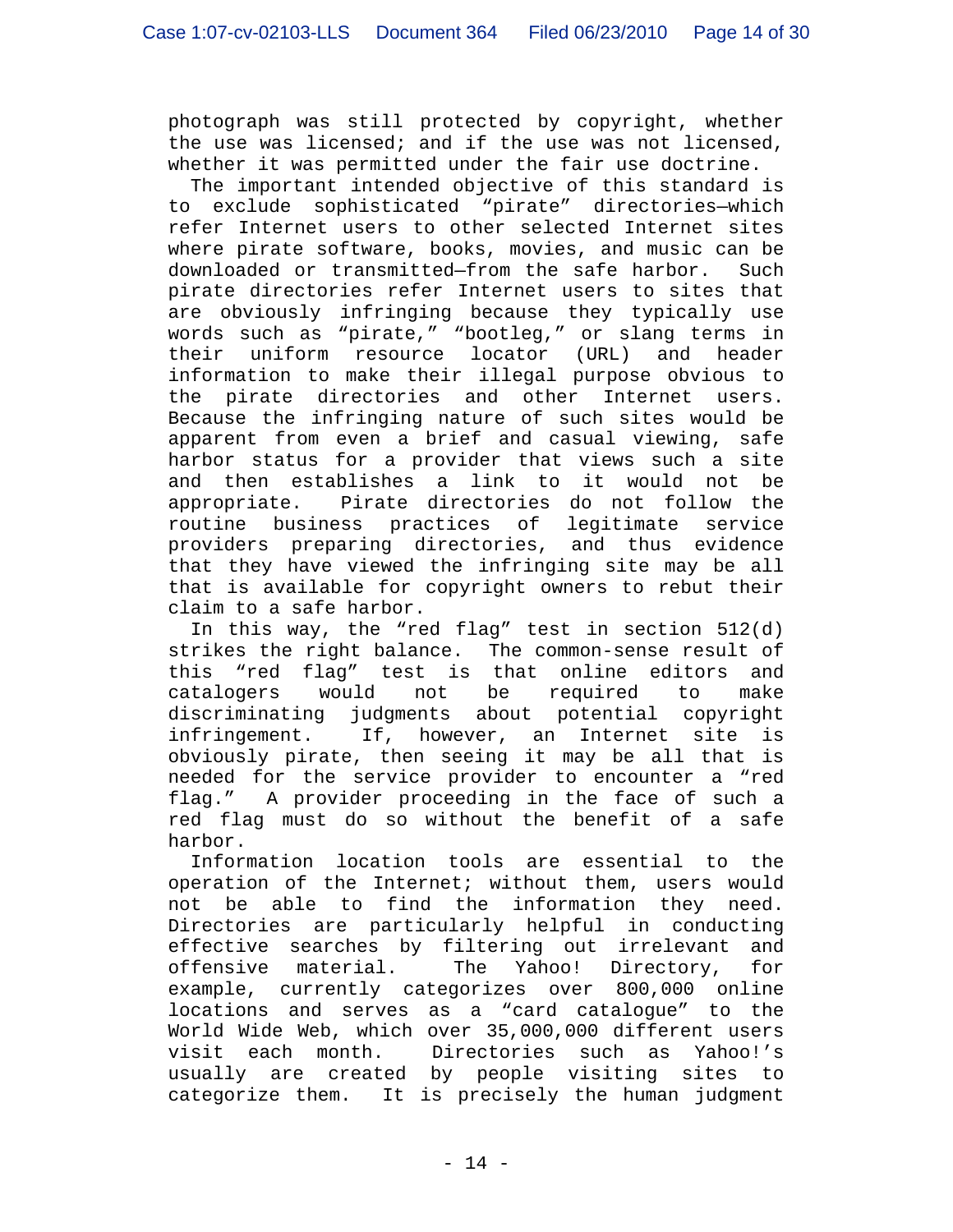photograph was still protected by copyright, whether the use was licensed; and if the use was not licensed, whether it was permitted under the fair use doctrine.

 The important intended objective of this standard is to exclude sophisticated "pirate" directories—which refer Internet users to other selected Internet sites where pirate software, books, movies, and music can be downloaded or transmitted—from the safe harbor. Such pirate directories refer Internet users to sites that are obviously infringing because they typically use words such as "pirate," "bootleg," or slang terms in their uniform resource locator (URL) and header information to make their illegal purpose obvious to the pirate directories and other Internet users. Because the infringing nature of such sites would be apparent from even a brief and casual viewing, safe harbor status for a provider that views such a site and then establishes a link to it would not be appropriate. Pirate directories do not follow the routine business practices of legitimate service providers preparing directories, and thus evidence that they have viewed the infringing site may be all that is available for copyright owners to rebut their claim to a safe harbor.

 In this way, the "red flag" test in section 512(d) strikes the right balance. The common-sense result of this "red flag" test is that online editors and catalogers would not be required to make discriminating judgments about potential copyright infringement. If, however, an Internet site is obviously pirate, then seeing it may be all that is needed for the service provider to encounter a "red flag." A provider proceeding in the face of such a red flag must do so without the benefit of a safe harbor.

 Information location tools are essential to the operation of the Internet; without them, users would not be able to find the information they need. Directories are particularly helpful in conducting effective searches by filtering out irrelevant and offensive material. The Yahoo! Directory, for example, currently categorizes over 800,000 online locations and serves as a "card catalogue" to the World Wide Web, which over 35,000,000 different users visit each month. Directories such as Yahoo!'s usually are created by people visiting sites to categorize them. It is precisely the human judgment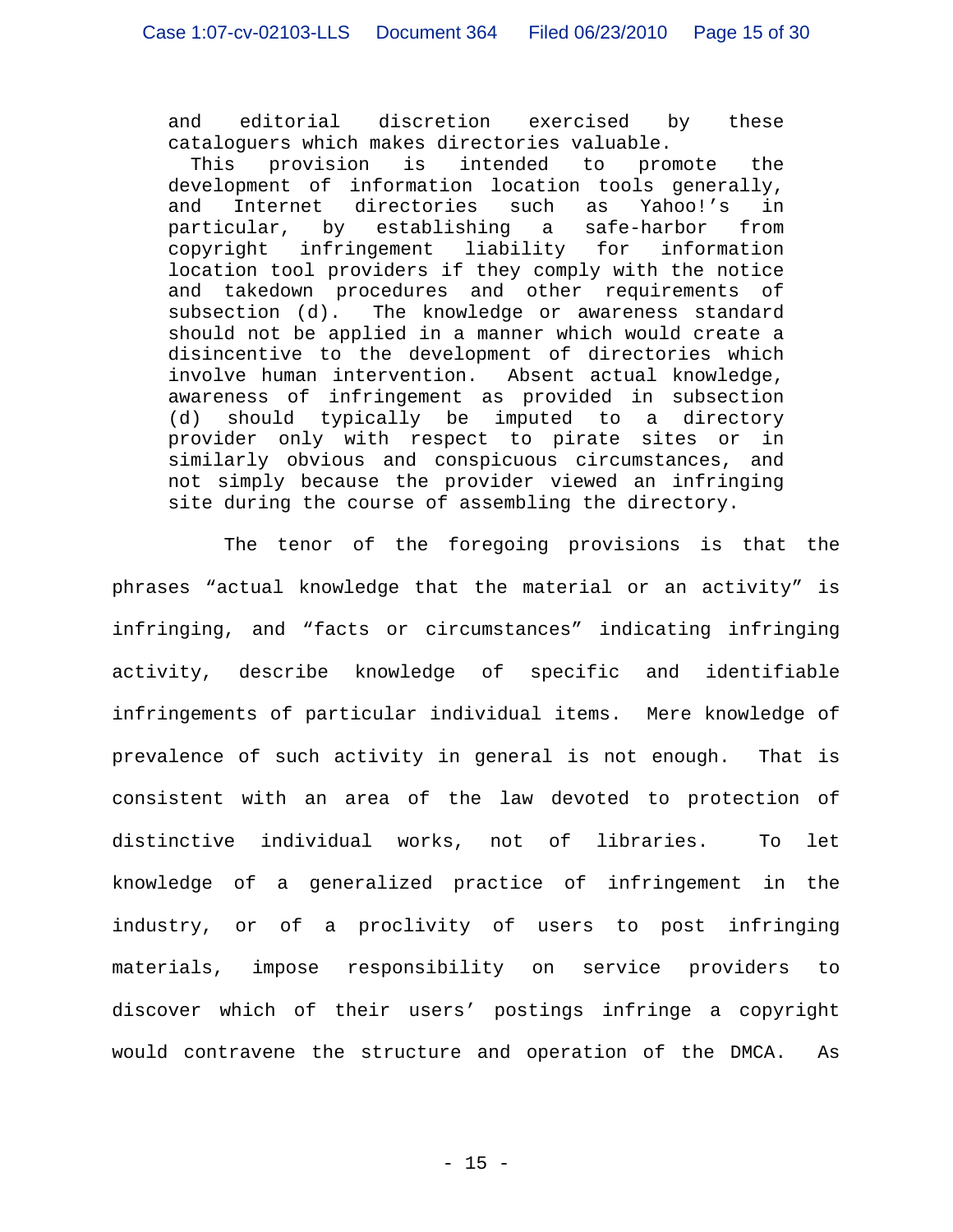and editorial discretion exercised by these cataloguers which makes directories valuable.

 This provision is intended to promote the development of information location tools generally, and Internet directories such as Yahoo!'s in particular, by establishing a safe-harbor from copyright infringement liability for information location tool providers if they comply with the notice and takedown procedures and other requirements of subsection (d). The knowledge or awareness standard should not be applied in a manner which would create a disincentive to the development of directories which involve human intervention. Absent actual knowledge, awareness of infringement as provided in subsection (d) should typically be imputed to a directory provider only with respect to pirate sites or in similarly obvious and conspicuous circumstances, and not simply because the provider viewed an infringing site during the course of assembling the directory.

 The tenor of the foregoing provisions is that the phrases "actual knowledge that the material or an activity" is infringing, and "facts or circumstances" indicating infringing activity, describe knowledge of specific and identifiable infringements of particular individual items. Mere knowledge of prevalence of such activity in general is not enough. That is consistent with an area of the law devoted to protection of distinctive individual works, not of libraries. To let knowledge of a generalized practice of infringement in the industry, or of a proclivity of users to post infringing materials, impose responsibility on service providers to discover which of their users' postings infringe a copyright would contravene the structure and operation of the DMCA. As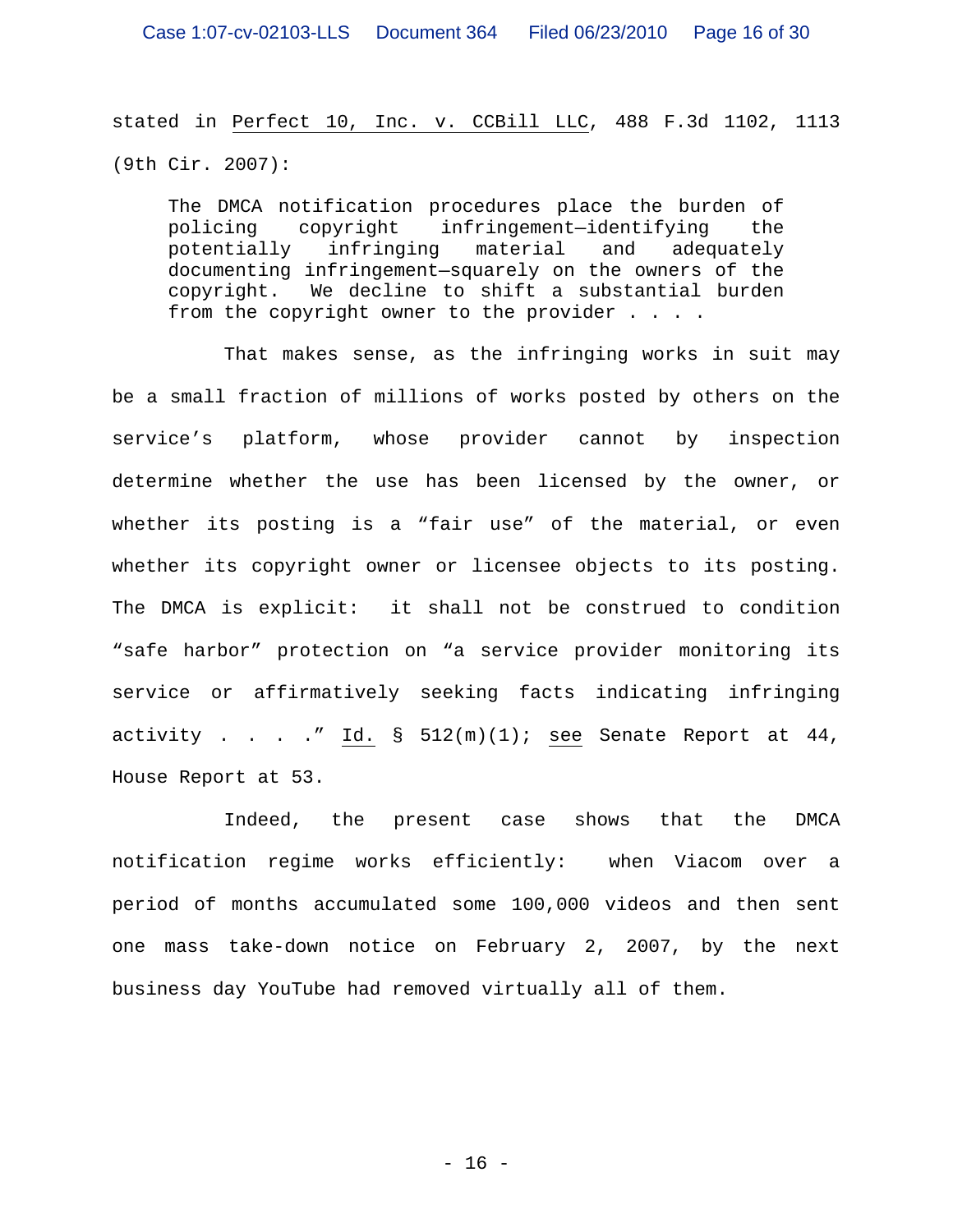stated in Perfect 10, Inc. v. CCBill LLC, 488 F.3d 1102, 1113 (9th Cir. 2007):

The DMCA notification procedures place the burden of policing copyright infringement—identifying the potentially infringing material and adequately documenting infringement—squarely on the owners of the copyright. We decline to shift a substantial burden from the copyright owner to the provider . . . .

 That makes sense, as the infringing works in suit may be a small fraction of millions of works posted by others on the service's platform, whose provider cannot by inspection determine whether the use has been licensed by the owner, or whether its posting is a "fair use" of the material, or even whether its copyright owner or licensee objects to its posting. The DMCA is explicit: it shall not be construed to condition "safe harbor" protection on "a service provider monitoring its service or affirmatively seeking facts indicating infringing activity . . . ." Id.  $\S$  512(m)(1); see Senate Report at 44, House Report at 53.

 Indeed, the present case shows that the DMCA notification regime works efficiently: when Viacom over a period of months accumulated some 100,000 videos and then sent one mass take-down notice on February 2, 2007, by the next business day YouTube had removed virtually all of them.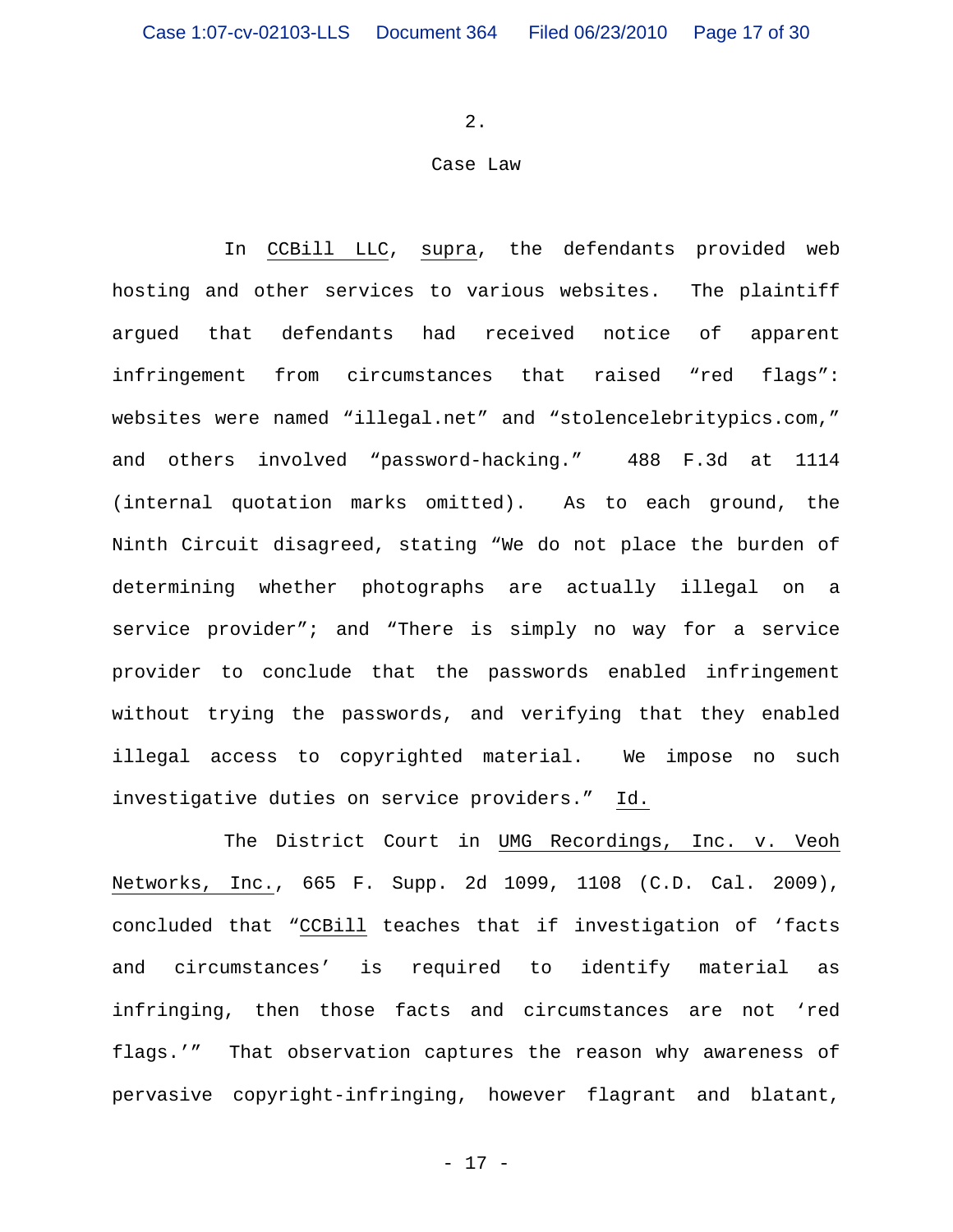2.

### Case Law

 In CCBill LLC, supra, the defendants provided web hosting and other services to various websites. The plaintiff argued that defendants had received notice of apparent infringement from circumstances that raised "red flags": websites were named "illegal.net" and "stolencelebritypics.com," and others involved "password-hacking." 488 F.3d at 1114 (internal quotation marks omitted). As to each ground, the Ninth Circuit disagreed, stating "We do not place the burden of determining whether photographs are actually illegal on a service provider"; and "There is simply no way for a service provider to conclude that the passwords enabled infringement without trying the passwords, and verifying that they enabled illegal access to copyrighted material. We impose no such investigative duties on service providers." Id.

The District Court in UMG Recordings, Inc. v. Veoh Networks, Inc., 665 F. Supp. 2d 1099, 1108 (C.D. Cal. 2009), concluded that "CCBill teaches that if investigation of 'facts and circumstances' is required to identify material as infringing, then those facts and circumstances are not 'red flags.'" That observation captures the reason why awareness of pervasive copyright-infringing, however flagrant and blatant,

- 17 -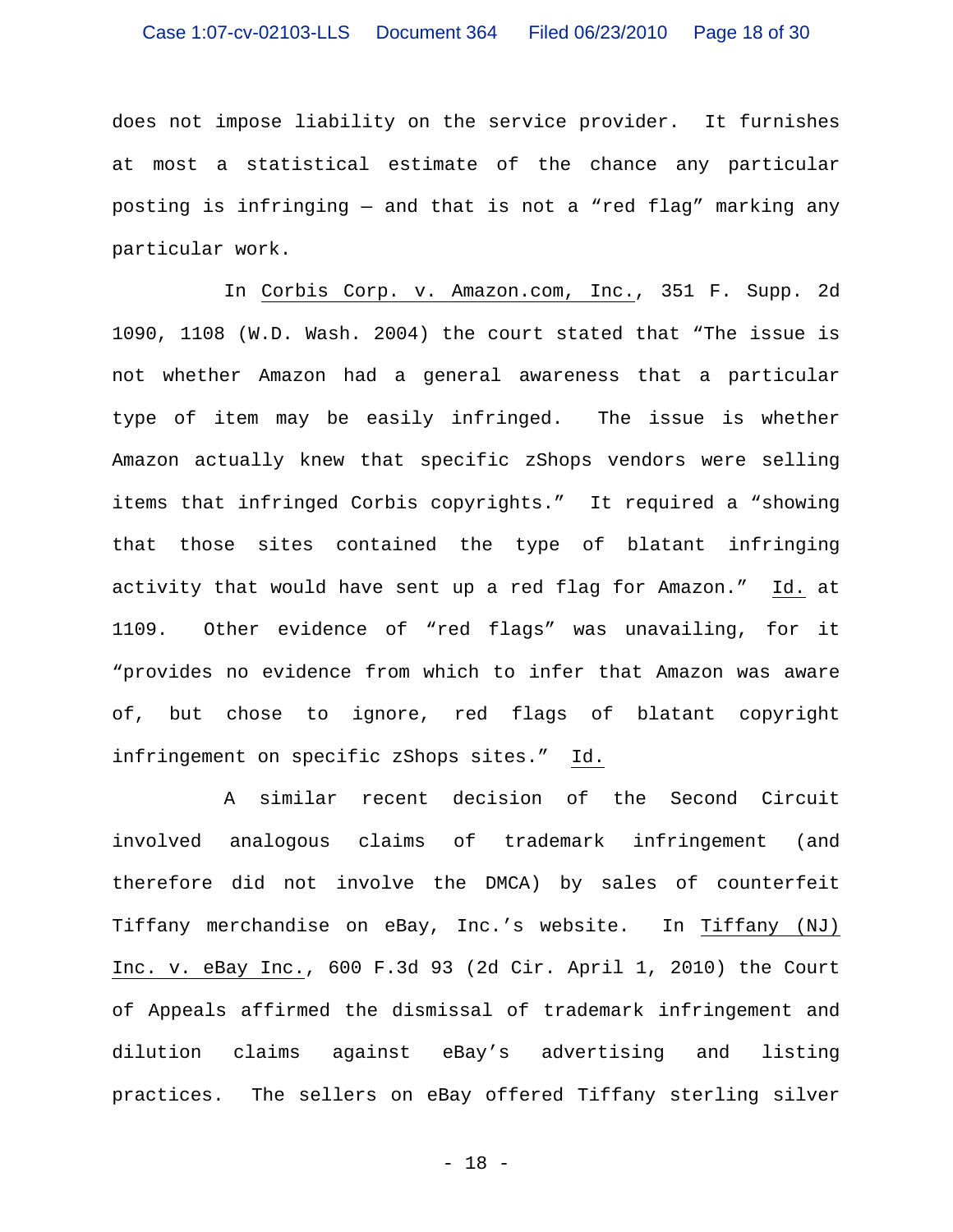does not impose liability on the service provider. It furnishes at most a statistical estimate of the chance any particular posting is infringing — and that is not a "red flag" marking any particular work.

 In Corbis Corp. v. Amazon.com, Inc., 351 F. Supp. 2d 1090, 1108 (W.D. Wash. 2004) the court stated that "The issue is not whether Amazon had a general awareness that a particular type of item may be easily infringed. The issue is whether Amazon actually knew that specific zShops vendors were selling items that infringed Corbis copyrights." It required a "showing that those sites contained the type of blatant infringing activity that would have sent up a red flag for Amazon." Id. at 1109. Other evidence of "red flags" was unavailing, for it "provides no evidence from which to infer that Amazon was aware of, but chose to ignore, red flags of blatant copyright infringement on specific zShops sites." Id.

 A similar recent decision of the Second Circuit involved analogous claims of trademark infringement (and therefore did not involve the DMCA) by sales of counterfeit Tiffany merchandise on eBay, Inc.'s website. In Tiffany (NJ) Inc. v. eBay Inc., 600 F.3d 93 (2d Cir. April 1, 2010) the Court of Appeals affirmed the dismissal of trademark infringement and dilution claims against eBay's advertising and listing practices. The sellers on eBay offered Tiffany sterling silver

- 18 -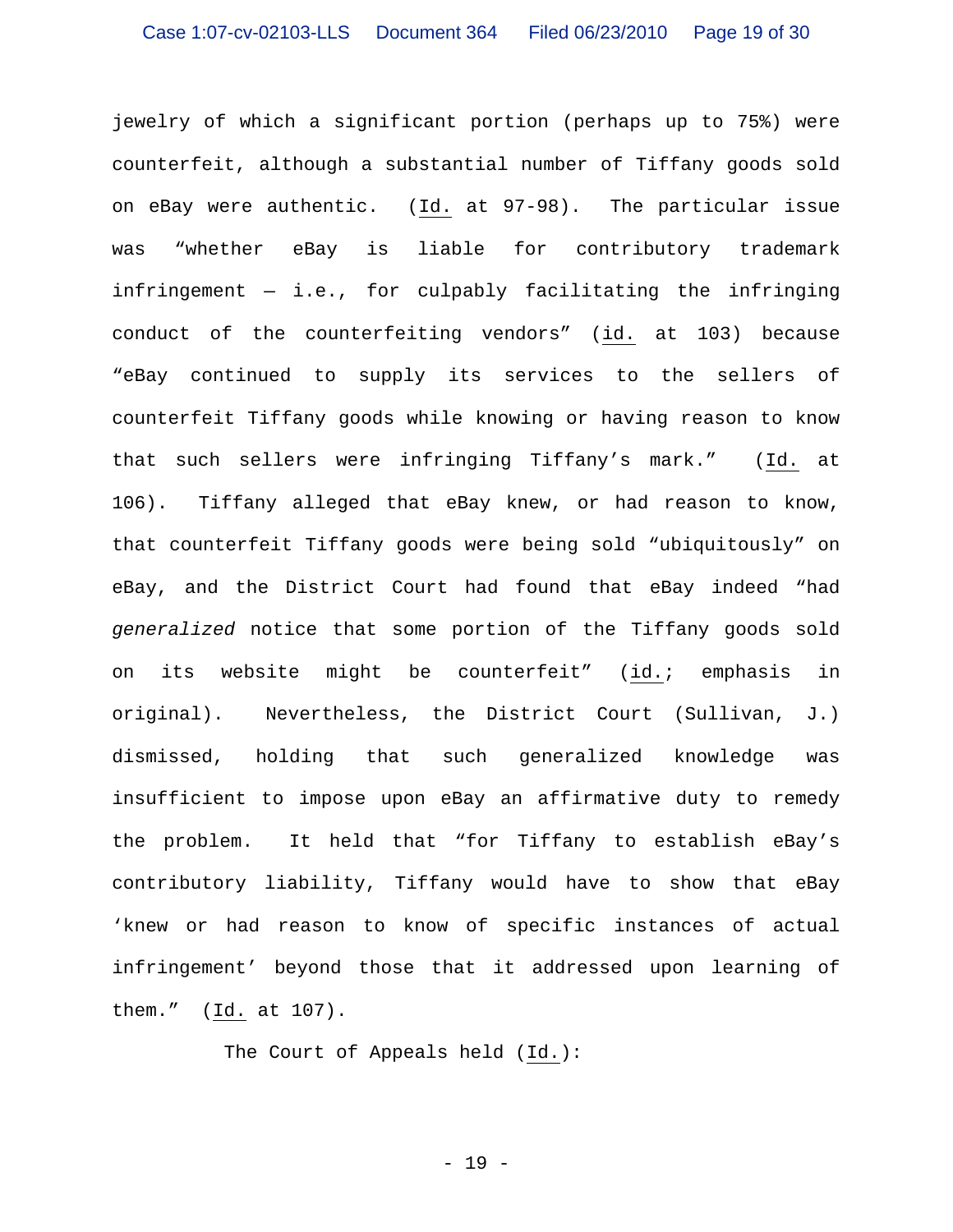jewelry of which a significant portion (perhaps up to 75%) were counterfeit, although a substantial number of Tiffany goods sold on eBay were authentic. (Id. at 97-98). The particular issue was "whether eBay is liable for contributory trademark infringement — i.e., for culpably facilitating the infringing conduct of the counterfeiting vendors" (id. at 103) because "eBay continued to supply its services to the sellers of counterfeit Tiffany goods while knowing or having reason to know that such sellers were infringing Tiffany's mark." (Id. at 106). Tiffany alleged that eBay knew, or had reason to know, that counterfeit Tiffany goods were being sold "ubiquitously" on eBay, and the District Court had found that eBay indeed "had *generalized* notice that some portion of the Tiffany goods sold on its website might be counterfeit" (id.; emphasis in original). Nevertheless, the District Court (Sullivan, J.) dismissed, holding that such generalized knowledge was insufficient to impose upon eBay an affirmative duty to remedy the problem. It held that "for Tiffany to establish eBay's contributory liability, Tiffany would have to show that eBay 'knew or had reason to know of specific instances of actual infringement' beyond those that it addressed upon learning of them." (Id. at 107).

The Court of Appeals held (Id.):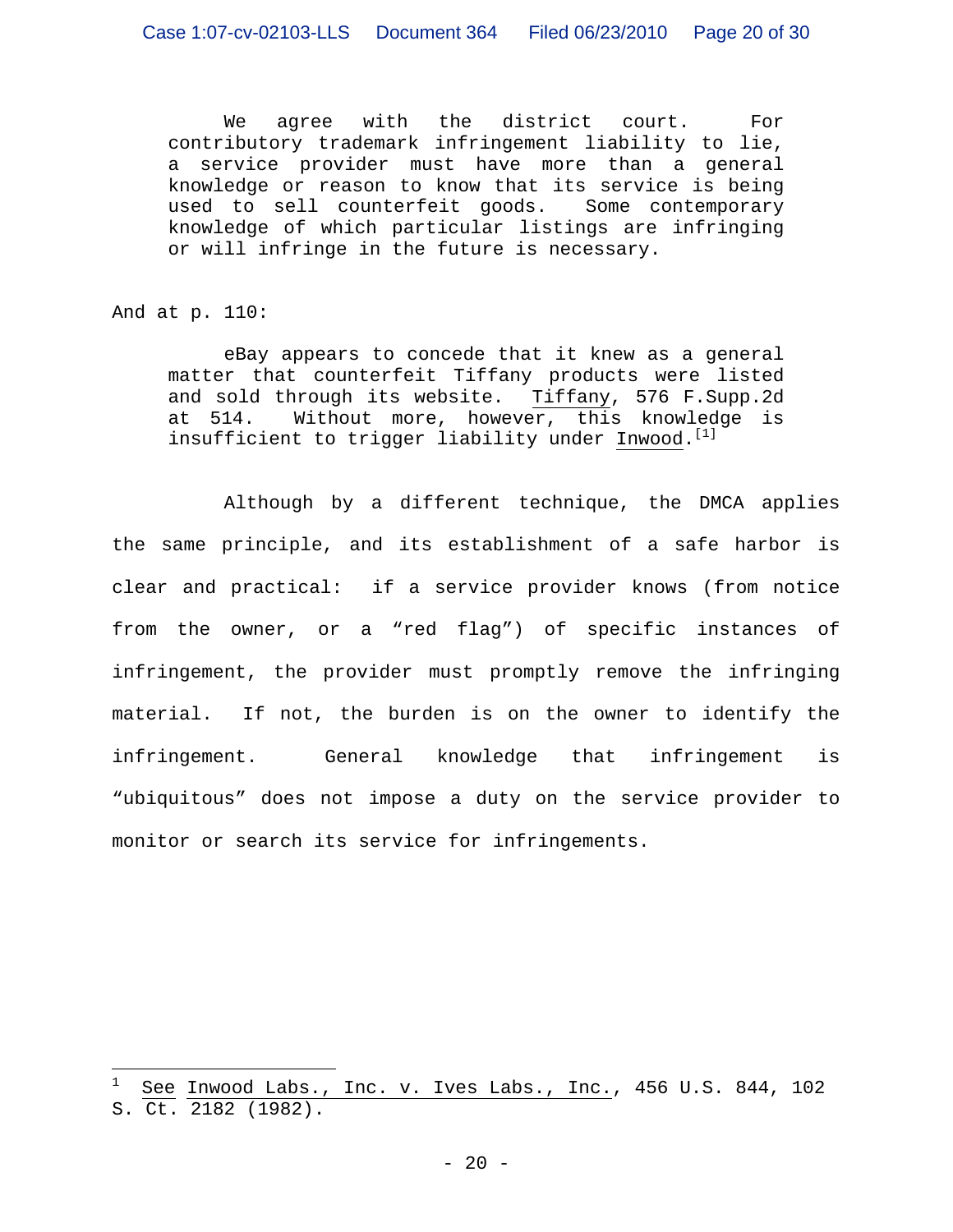We agree with the district court. For contributory trademark infringement liability to lie, a service provider must have more than a general knowledge or reason to know that its service is being used to sell counterfeit goods. Some contemporary knowledge of which particular listings are infringing or will infringe in the future is necessary.

And at p. 110:

1

 eBay appears to concede that it knew as a general matter that counterfeit Tiffany products were listed and sold through its website. Tiffany, 576 F.Supp.2d at 514. Without more, however, this knowledge is insufficient to trigger liability under Inwood.<sup>[1]</sup>

 Although by a different technique, the DMCA applies the same principle, and its establishment of a safe harbor is clear and practical: if a service provider knows (from notice from the owner, or a "red flag") of specific instances of infringement, the provider must promptly remove the infringing material. If not, the burden is on the owner to identify the infringement. General knowledge that infringement is "ubiquitous" does not impose a duty on the service provider to monitor or search its service for infringements.

 $^1$  See Inwood Labs., Inc. v. Ives Labs., Inc., 456 U.S. 844, 102 S. Ct. 2182 (1982).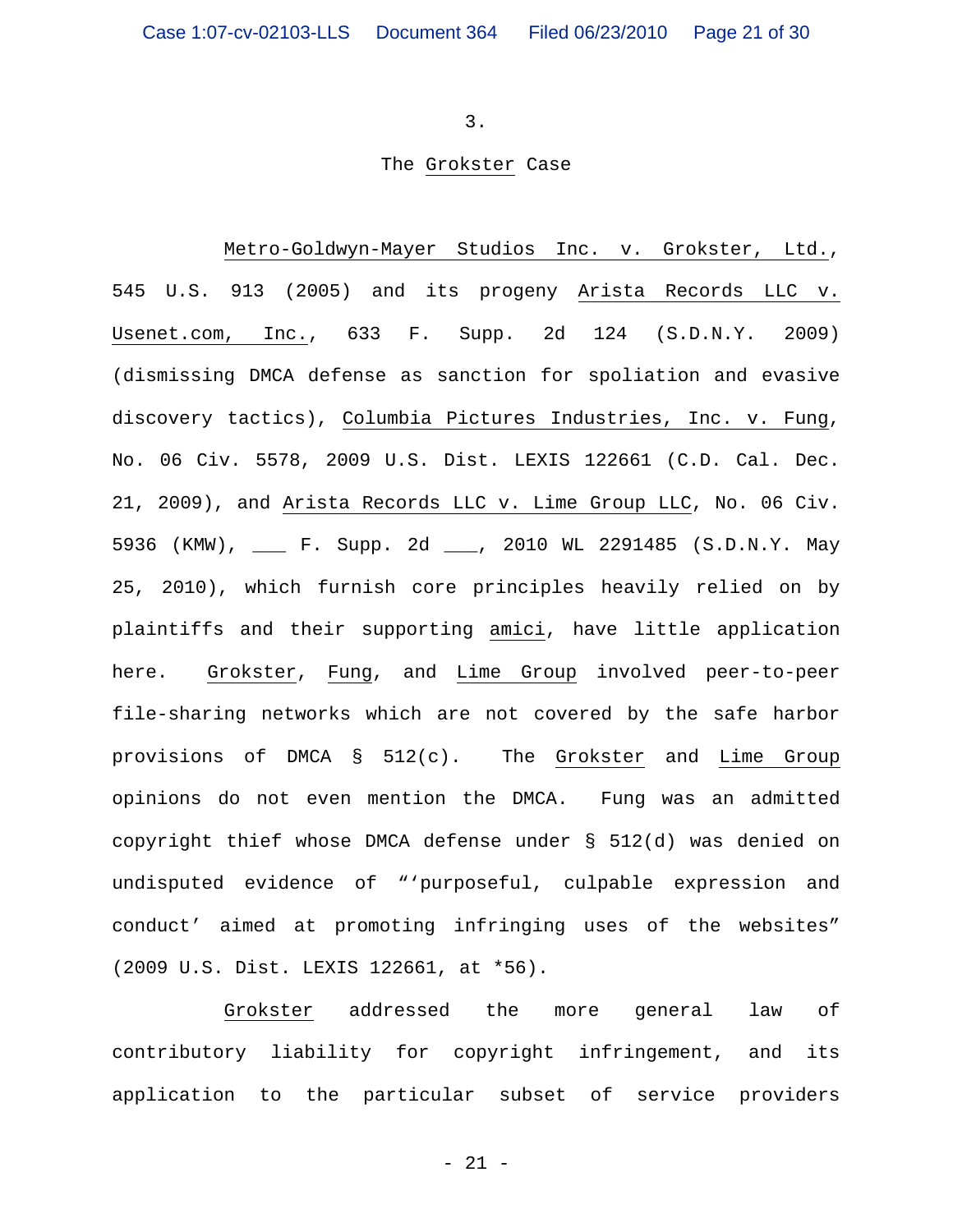3.

## The Grokster Case

 Metro-Goldwyn-Mayer Studios Inc. v. Grokster, Ltd., 545 U.S. 913 (2005) and its progeny Arista Records LLC v. Usenet.com, Inc., 633 F. Supp. 2d 124 (S.D.N.Y. 2009) (dismissing DMCA defense as sanction for spoliation and evasive discovery tactics), Columbia Pictures Industries, Inc. v. Fung, No. 06 Civ. 5578, 2009 U.S. Dist. LEXIS 122661 (C.D. Cal. Dec. 21, 2009), and Arista Records LLC v. Lime Group LLC, No. 06 Civ. 5936 (KMW), \_\_\_ F. Supp. 2d \_\_\_, 2010 WL 2291485 (S.D.N.Y. May 25, 2010), which furnish core principles heavily relied on by plaintiffs and their supporting amici, have little application here. Grokster, Fung, and Lime Group involved peer-to-peer

file-sharing networks which are not covered by the safe harbor provisions of DMCA § 512(c). The Grokster and Lime Group opinions do not even mention the DMCA. Fung was an admitted copyright thief whose DMCA defense under § 512(d) was denied on undisputed evidence of "'purposeful, culpable expression and conduct' aimed at promoting infringing uses of the websites" (2009 U.S. Dist. LEXIS 122661, at \*56).

 Grokster addressed the more general law of contributory liability for copyright infringement, and its application to the particular subset of service providers

- 21 -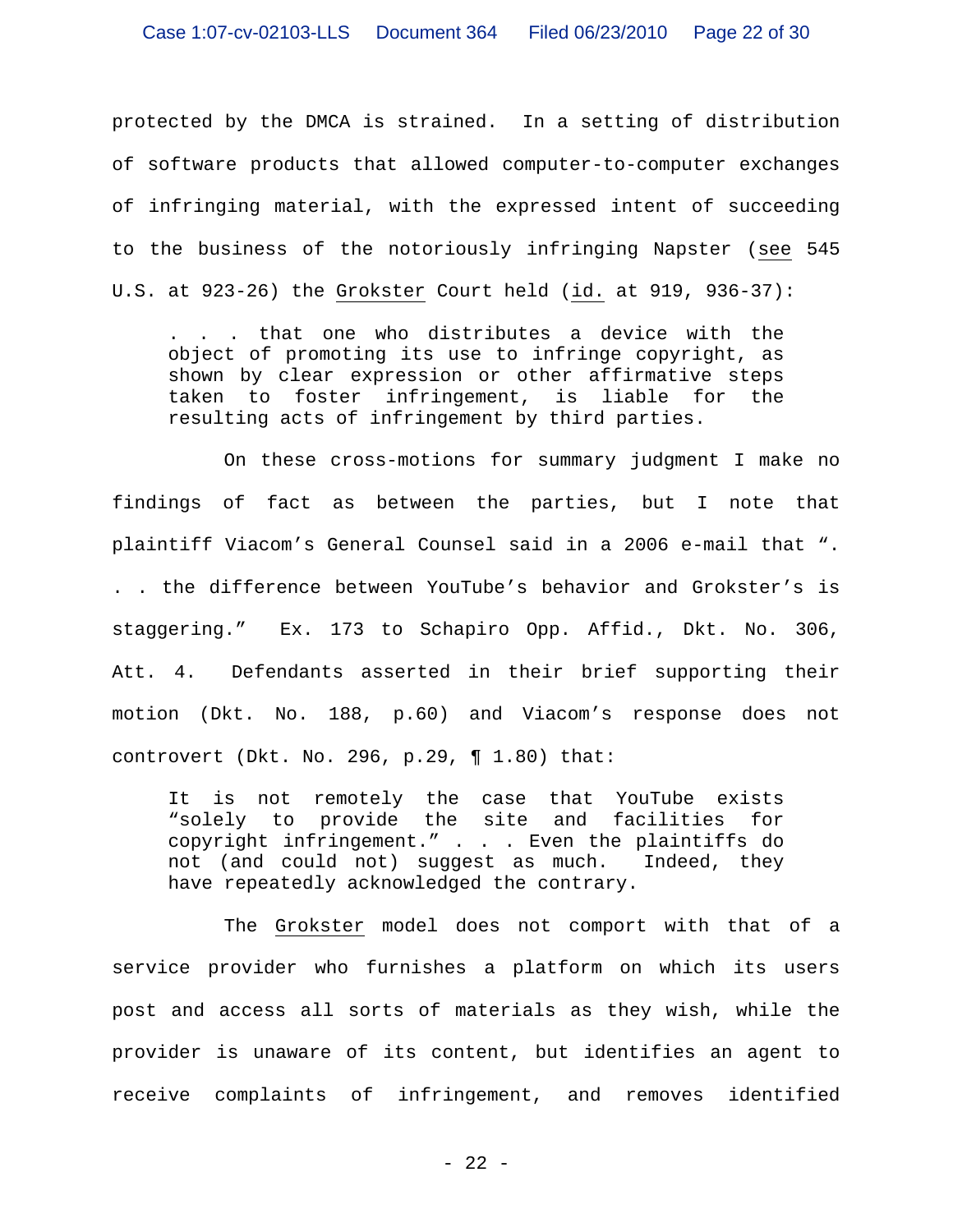protected by the DMCA is strained. In a setting of distribution of software products that allowed computer-to-computer exchanges of infringing material, with the expressed intent of succeeding to the business of the notoriously infringing Napster (see 545 U.S. at 923-26) the Grokster Court held (id. at 919, 936-37):

. . . that one who distributes a device with the object of promoting its use to infringe copyright, as shown by clear expression or other affirmative steps taken to foster infringement, is liable for the resulting acts of infringement by third parties.

 On these cross-motions for summary judgment I make no findings of fact as between the parties, but I note that plaintiff Viacom's General Counsel said in a 2006 e-mail that ". . . the difference between YouTube's behavior and Grokster's is staggering." Ex. 173 to Schapiro Opp. Affid., Dkt. No. 306, Att. 4. Defendants asserted in their brief supporting their motion (Dkt. No. 188, p.60) and Viacom's response does not controvert (Dkt. No. 296, p.29, ¶ 1.80) that:

It is not remotely the case that YouTube exists "solely to provide the site and facilities for copyright infringement." . . . Even the plaintiffs do not (and could not) suggest as much. Indeed, they have repeatedly acknowledged the contrary.

 The Grokster model does not comport with that of a service provider who furnishes a platform on which its users post and access all sorts of materials as they wish, while the provider is unaware of its content, but identifies an agent to receive complaints of infringement, and removes identified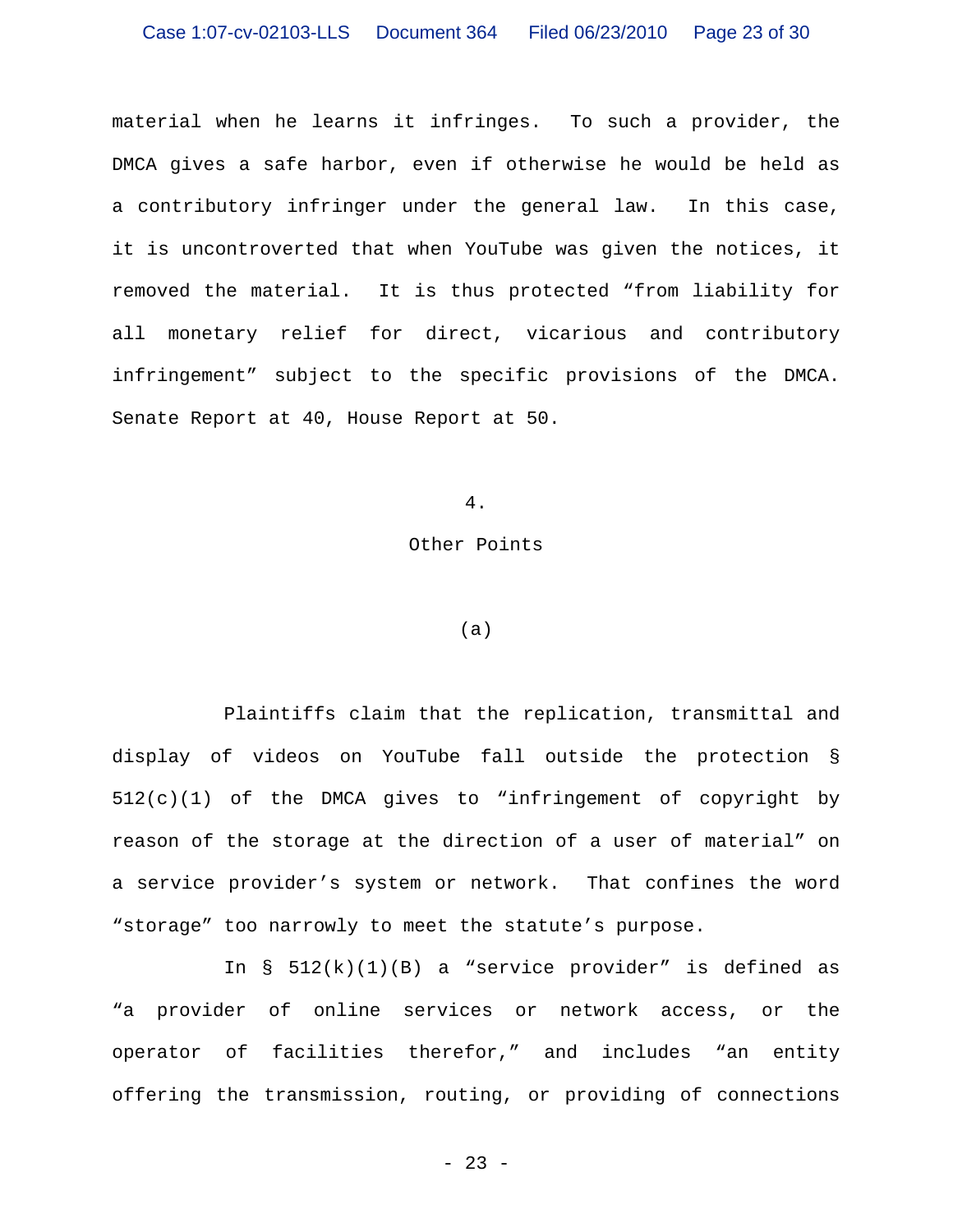material when he learns it infringes. To such a provider, the DMCA gives a safe harbor, even if otherwise he would be held as a contributory infringer under the general law. In this case, it is uncontroverted that when YouTube was given the notices, it removed the material. It is thus protected "from liability for all monetary relief for direct, vicarious and contributory infringement" subject to the specific provisions of the DMCA. Senate Report at 40, House Report at 50.

4.

### Other Points

### (a)

 Plaintiffs claim that the replication, transmittal and display of videos on YouTube fall outside the protection §  $512(c)(1)$  of the DMCA gives to "infringement of copyright by reason of the storage at the direction of a user of material" on a service provider's system or network. That confines the word "storage" too narrowly to meet the statute's purpose.

In  $\S$  512(k)(1)(B) a "service provider" is defined as "a provider of online services or network access, or the operator of facilities therefor," and includes "an entity offering the transmission, routing, or providing of connections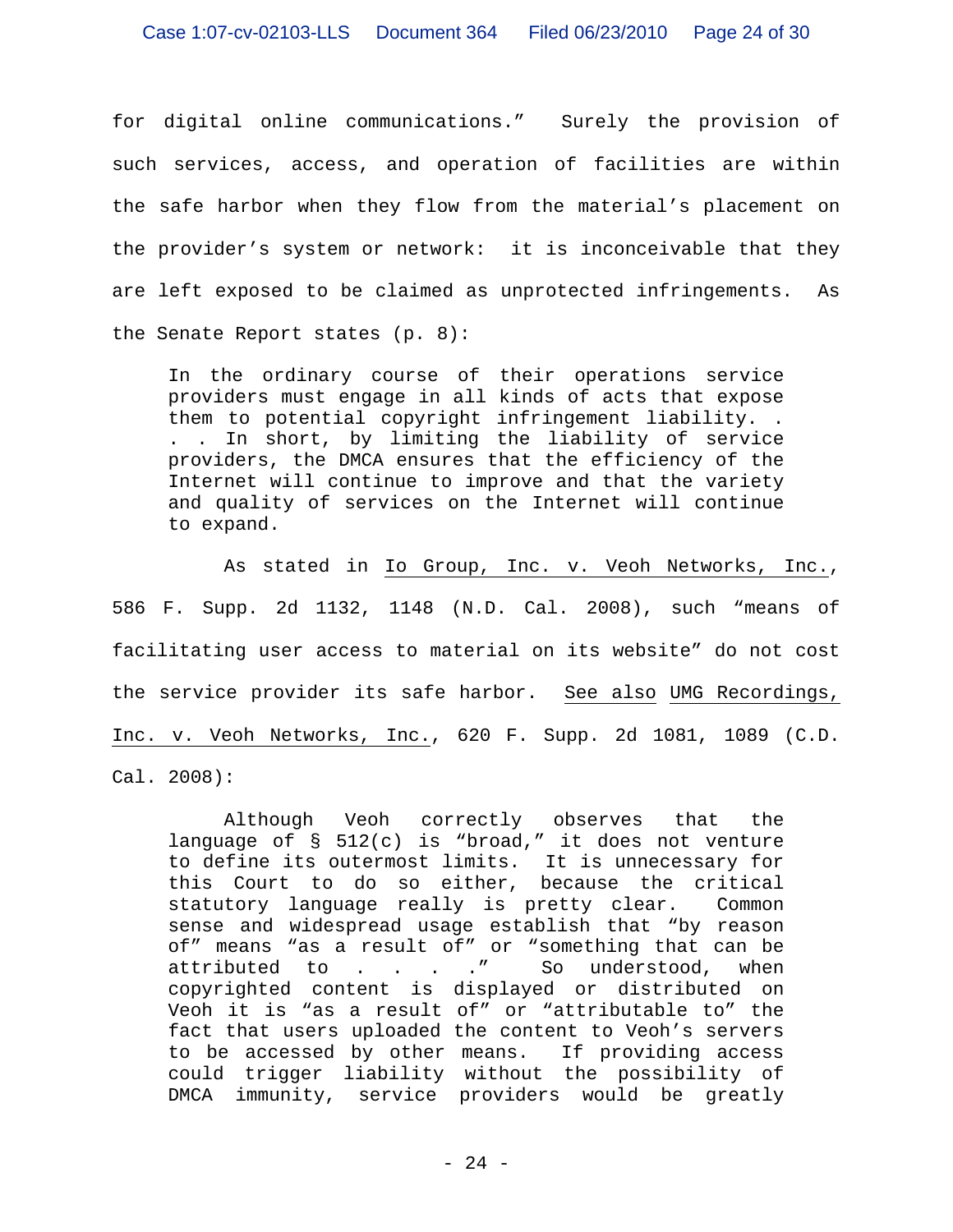for digital online communications." Surely the provision of such services, access, and operation of facilities are within the safe harbor when they flow from the material's placement on the provider's system or network: it is inconceivable that they are left exposed to be claimed as unprotected infringements. As the Senate Report states (p. 8):

In the ordinary course of their operations service providers must engage in all kinds of acts that expose them to potential copyright infringement liability. . . . In short, by limiting the liability of service providers, the DMCA ensures that the efficiency of the Internet will continue to improve and that the variety and quality of services on the Internet will continue to expand.

 As stated in Io Group, Inc. v. Veoh Networks, Inc., 586 F. Supp. 2d 1132, 1148 (N.D. Cal. 2008), such "means of facilitating user access to material on its website" do not cost the service provider its safe harbor. See also UMG Recordings, Inc. v. Veoh Networks, Inc., 620 F. Supp. 2d 1081, 1089 (C.D. Cal. 2008):

 Although Veoh correctly observes that the language of § 512(c) is "broad," it does not venture to define its outermost limits. It is unnecessary for this Court to do so either, because the critical statutory language really is pretty clear. Common sense and widespread usage establish that "by reason of" means "as a result of" or "something that can be attributed to . . . . " So understood, when copyrighted content is displayed or distributed on Veoh it is "as a result of" or "attributable to" the fact that users uploaded the content to Veoh's servers to be accessed by other means. If providing access could trigger liability without the possibility of DMCA immunity, service providers would be greatly

- 24 -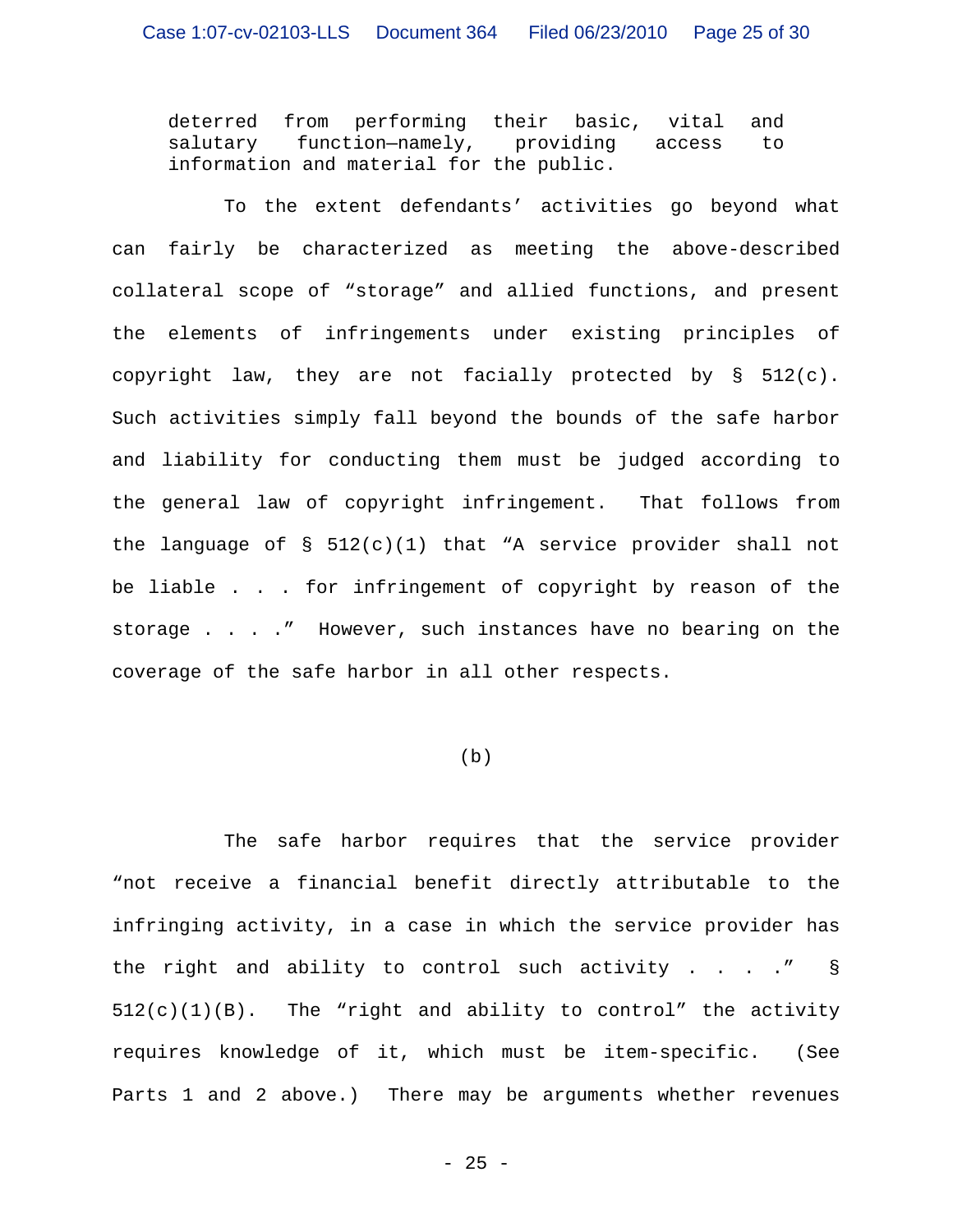deterred from performing their basic, vital and salutary function—namely, providing access to information and material for the public.

 To the extent defendants' activities go beyond what can fairly be characterized as meeting the above-described collateral scope of "storage" and allied functions, and present the elements of infringements under existing principles of copyright law, they are not facially protected by § 512(c). Such activities simply fall beyond the bounds of the safe harbor and liability for conducting them must be judged according to the general law of copyright infringement. That follows from the language of  $\S$  512(c)(1) that "A service provider shall not be liable . . . for infringement of copyright by reason of the storage . . . ." However, such instances have no bearing on the coverage of the safe harbor in all other respects.

#### $(b)$

The safe harbor requires that the service provider "not receive a financial benefit directly attributable to the infringing activity, in a case in which the service provider has the right and ability to control such activity . . . . " §  $512(c)(1)(B)$ . The "right and ability to control" the activity requires knowledge of it, which must be item-specific. (See Parts 1 and 2 above.) There may be arguments whether revenues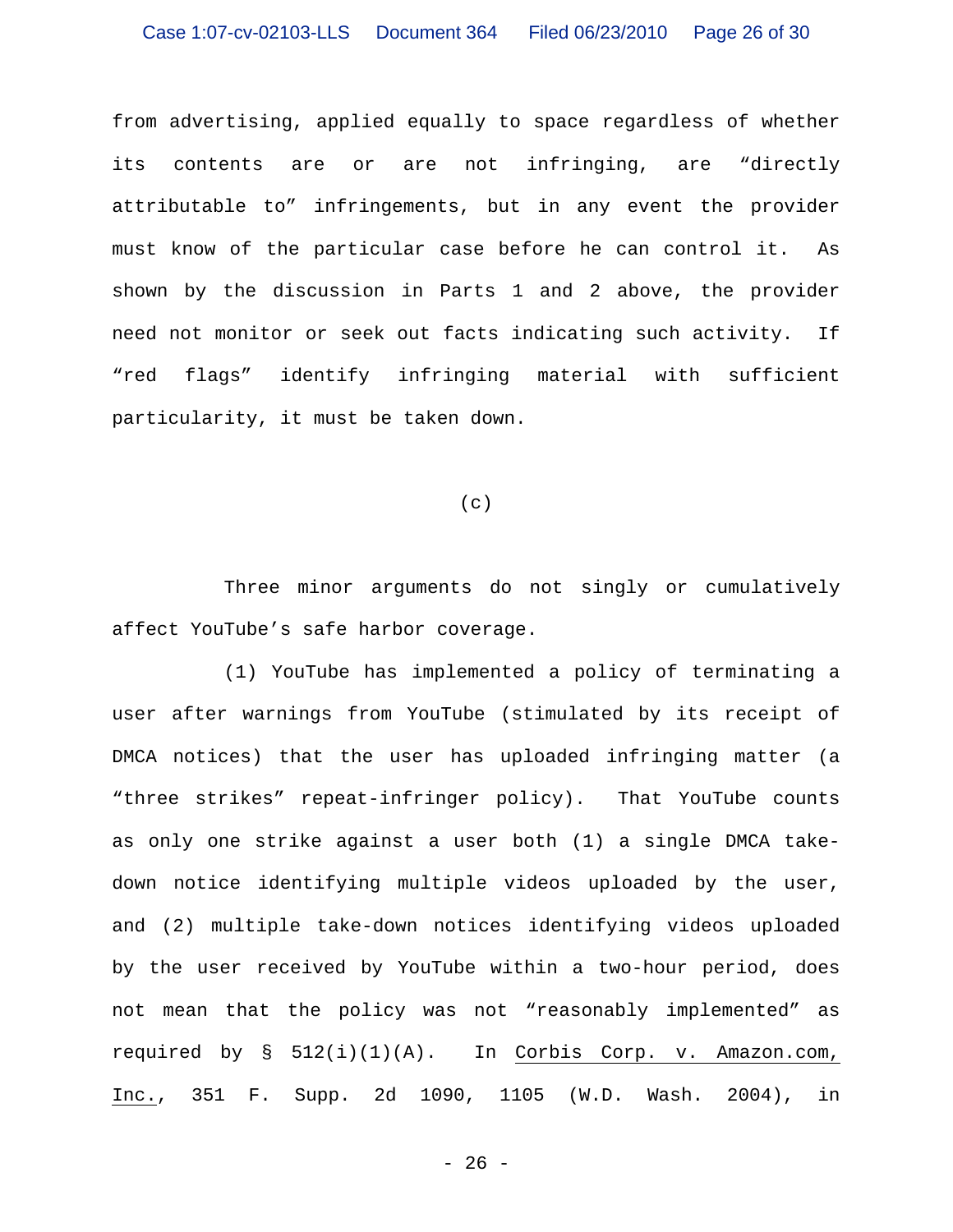from advertising, applied equally to space regardless of whether its contents are or are not infringing, are "directly attributable to" infringements, but in any event the provider must know of the particular case before he can control it. As shown by the discussion in Parts 1 and 2 above, the provider need not monitor or seek out facts indicating such activity. If "red flags" identify infringing material with sufficient particularity, it must be taken down.

 $(c)$ 

 Three minor arguments do not singly or cumulatively affect YouTube's safe harbor coverage.

 (1) YouTube has implemented a policy of terminating a user after warnings from YouTube (stimulated by its receipt of DMCA notices) that the user has uploaded infringing matter (a "three strikes" repeat-infringer policy). That YouTube counts as only one strike against a user both (1) a single DMCA takedown notice identifying multiple videos uploaded by the user, and (2) multiple take-down notices identifying videos uploaded by the user received by YouTube within a two-hour period, does not mean that the policy was not "reasonably implemented" as required by § 512(i)(1)(A). In Corbis Corp. v. Amazon.com, Inc., 351 F. Supp. 2d 1090, 1105 (W.D. Wash. 2004), in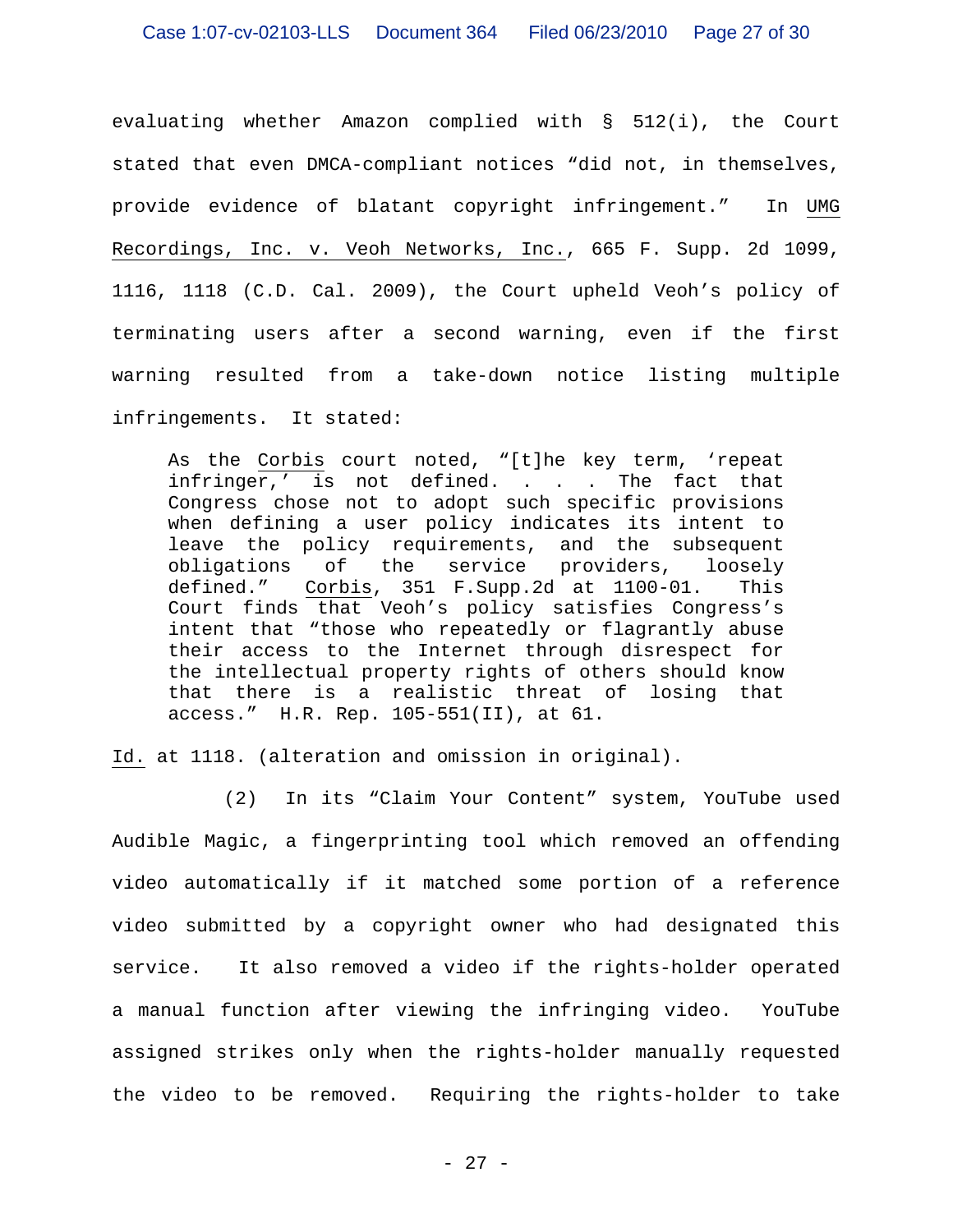evaluating whether Amazon complied with § 512(i), the Court stated that even DMCA-compliant notices "did not, in themselves, provide evidence of blatant copyright infringement." In UMG Recordings, Inc. v. Veoh Networks, Inc., 665 F. Supp. 2d 1099, 1116, 1118 (C.D. Cal. 2009), the Court upheld Veoh's policy of terminating users after a second warning, even if the first warning resulted from a take-down notice listing multiple infringements. It stated:

As the Corbis court noted, "[t]he key term, 'repeat infringer,' is not defined. . . . The fact that Congress chose not to adopt such specific provisions when defining a user policy indicates its intent to leave the policy requirements, and the subsequent obligations of the service providers, loosely defined." Corbis, 351 F.Supp.2d at 1100-01. This Court finds that Veoh's policy satisfies Congress's intent that "those who repeatedly or flagrantly abuse their access to the Internet through disrespect for the intellectual property rights of others should know that there is a realistic threat of losing that access." H.R. Rep. 105-551(II), at 61.

Id. at 1118. (alteration and omission in original).

 (2) In its "Claim Your Content" system, YouTube used Audible Magic, a fingerprinting tool which removed an offending video automatically if it matched some portion of a reference video submitted by a copyright owner who had designated this service. It also removed a video if the rights-holder operated a manual function after viewing the infringing video. YouTube assigned strikes only when the rights-holder manually requested the video to be removed. Requiring the rights-holder to take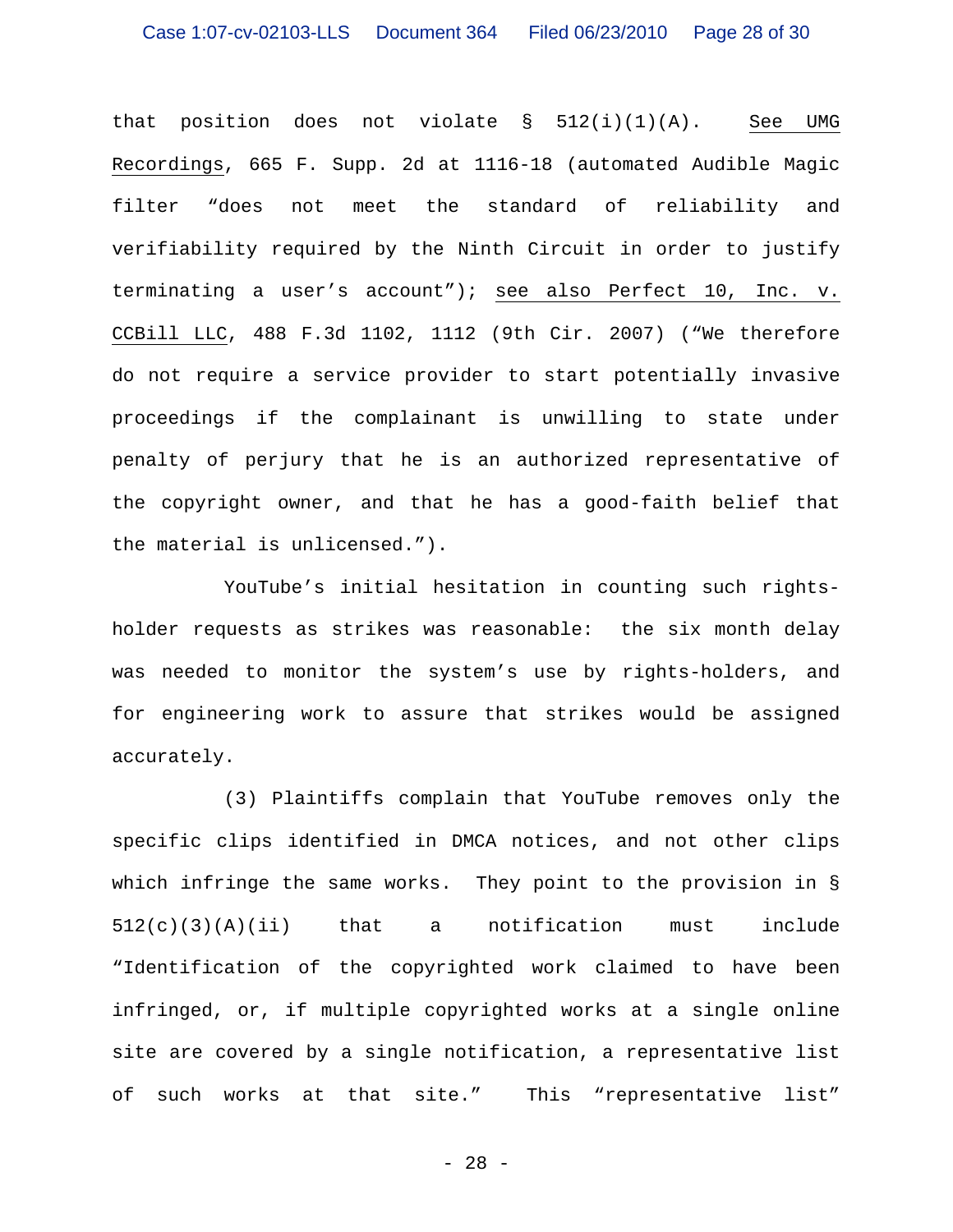that position does not violate § 512(i)(1)(A). See UMG Recordings, 665 F. Supp. 2d at 1116-18 (automated Audible Magic filter "does not meet the standard of reliability and verifiability required by the Ninth Circuit in order to justify terminating a user's account"); see also Perfect 10, Inc. v. CCBill LLC, 488 F.3d 1102, 1112 (9th Cir. 2007) ("We therefore do not require a service provider to start potentially invasive proceedings if the complainant is unwilling to state under penalty of perjury that he is an authorized representative of the copyright owner, and that he has a good-faith belief that the material is unlicensed.").

 YouTube's initial hesitation in counting such rightsholder requests as strikes was reasonable: the six month delay was needed to monitor the system's use by rights-holders, and for engineering work to assure that strikes would be assigned accurately.

 (3) Plaintiffs complain that YouTube removes only the specific clips identified in DMCA notices, and not other clips which infringe the same works. They point to the provision in § 512(c)(3)(A)(ii) that a notification must include "Identification of the copyrighted work claimed to have been infringed, or, if multiple copyrighted works at a single online site are covered by a single notification, a representative list of such works at that site." This "representative list"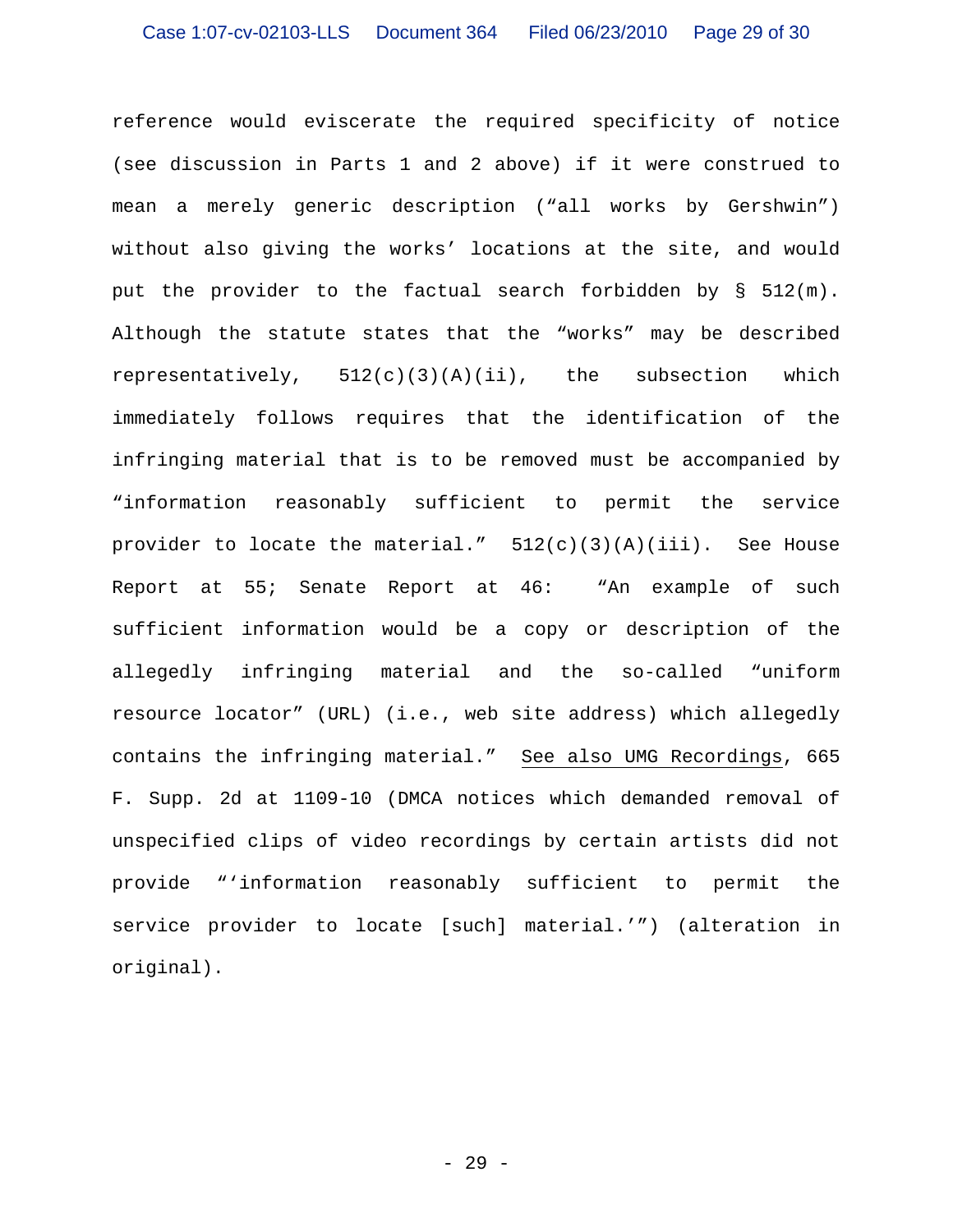reference would eviscerate the required specificity of notice (see discussion in Parts 1 and 2 above) if it were construed to mean a merely generic description ("all works by Gershwin") without also giving the works' locations at the site, and would put the provider to the factual search forbidden by § 512(m). Although the statute states that the "works" may be described representatively,  $512(c)(3)(A)(ii)$ , the subsection which immediately follows requires that the identification of the infringing material that is to be removed must be accompanied by "information reasonably sufficient to permit the service provider to locate the material."  $512(c)(3)(A)(iii)$ . See House Report at 55; Senate Report at 46: "An example of such sufficient information would be a copy or description of the allegedly infringing material and the so-called "uniform resource locator" (URL) (i.e., web site address) which allegedly contains the infringing material." See also UMG Recordings, 665 F. Supp. 2d at 1109-10 (DMCA notices which demanded removal of unspecified clips of video recordings by certain artists did not provide "'information reasonably sufficient to permit the service provider to locate [such] material.'") (alteration in original).